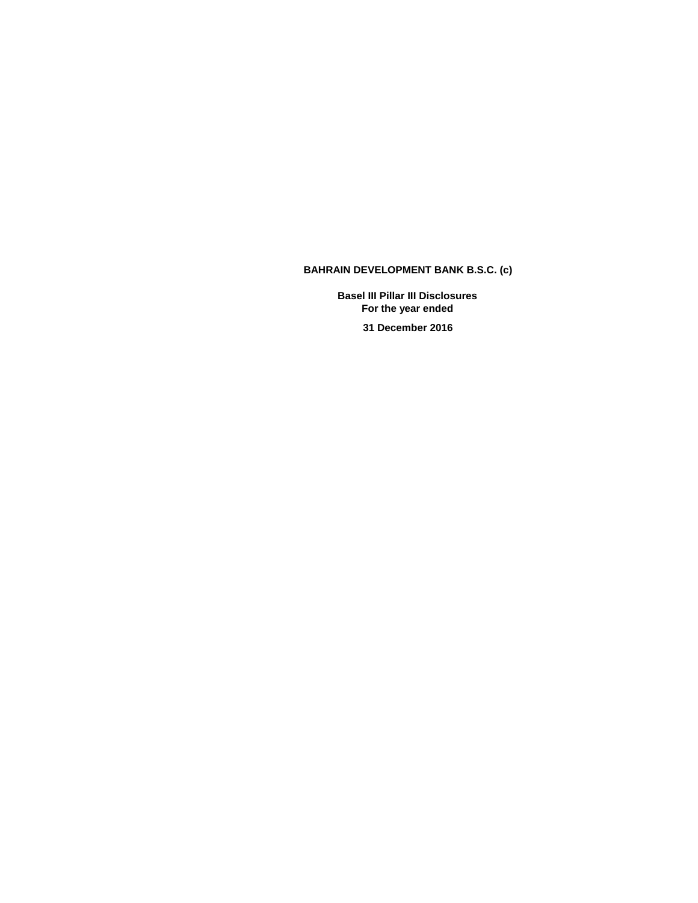## **BAHRAIN DEVELOPMENT BANK B.S.C. (c)**

**Basel III Pillar III Disclosures For the year ended** 

**31 December 2016**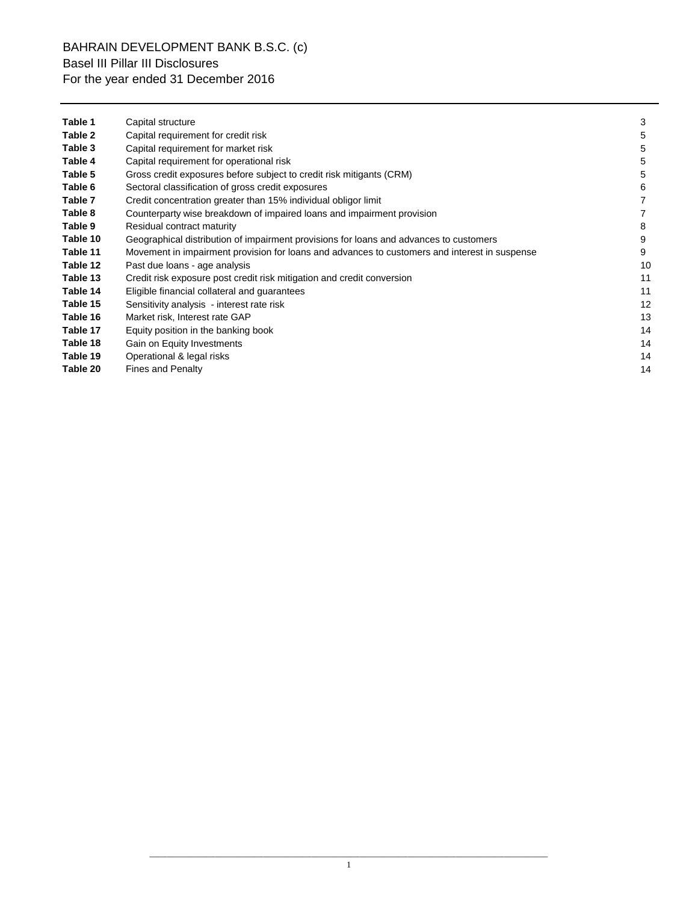| Table 1  | Capital structure                                                                             | 3  |
|----------|-----------------------------------------------------------------------------------------------|----|
| Table 2  | Capital requirement for credit risk                                                           | 5  |
| Table 3  | Capital requirement for market risk                                                           | 5  |
| Table 4  | Capital requirement for operational risk                                                      | 5  |
| Table 5  | Gross credit exposures before subject to credit risk mitigants (CRM)                          | 5  |
| Table 6  | Sectoral classification of gross credit exposures                                             | 6  |
| Table 7  | Credit concentration greater than 15% individual obligor limit                                | 7  |
| Table 8  | Counterparty wise breakdown of impaired loans and impairment provision                        |    |
| Table 9  | Residual contract maturity                                                                    | 8  |
| Table 10 | Geographical distribution of impairment provisions for loans and advances to customers        | 9  |
| Table 11 | Movement in impairment provision for loans and advances to customers and interest in suspense | 9  |
| Table 12 | Past due loans - age analysis                                                                 | 10 |
| Table 13 | Credit risk exposure post credit risk mitigation and credit conversion                        | 11 |
| Table 14 | Eligible financial collateral and guarantees                                                  | 11 |
| Table 15 | Sensitivity analysis - interest rate risk                                                     | 12 |
| Table 16 | Market risk, Interest rate GAP                                                                | 13 |
| Table 17 | Equity position in the banking book                                                           | 14 |
| Table 18 | Gain on Equity Investments                                                                    | 14 |
| Table 19 | Operational & legal risks                                                                     | 14 |
| Table 20 | <b>Fines and Penalty</b>                                                                      | 14 |
|          |                                                                                               |    |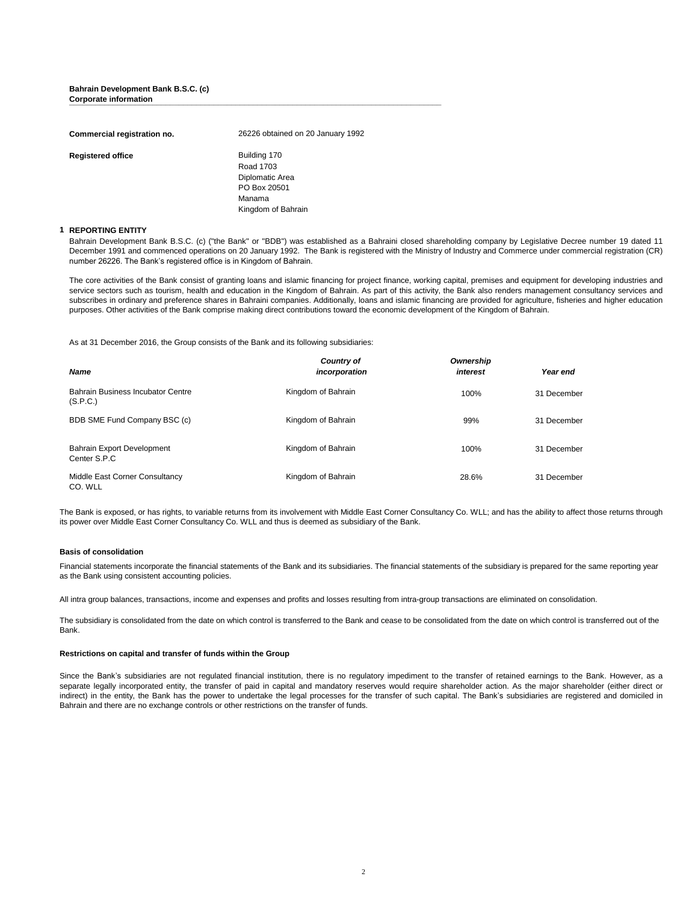### **Bahrain Development Bank B.S.C. (c) Corporate information**

| Commercial registration no. | 26226 obtained on 20 January 1992                                                            |
|-----------------------------|----------------------------------------------------------------------------------------------|
| <b>Registered office</b>    | Building 170<br>Road 1703<br>Diplomatic Area<br>PO Box 20501<br>Manama<br>Kingdom of Bahrain |

### **1 REPORTING ENTITY**

Bahrain Development Bank B.S.C. (c) ("the Bank" or "BDB") was established as a Bahraini closed shareholding company by Legislative Decree number 19 dated 11 December 1991 and commenced operations on 20 January 1992. The Bank is registered with the Ministry of Industry and Commerce under commercial registration (CR) number 26226. The Bank"s registered office is in Kingdom of Bahrain.

The core activities of the Bank consist of granting loans and islamic financing for project finance, working capital, premises and equipment for developing industries and service sectors such as tourism, health and education in the Kingdom of Bahrain. As part of this activity, the Bank also renders management consultancy services and subscribes in ordinary and preference shares in Bahraini companies. Additionally, loans and islamic financing are provided for agriculture, fisheries and higher education purposes. Other activities of the Bank comprise making direct contributions toward the economic development of the Kingdom of Bahrain.

As at 31 December 2016, the Group consists of the Bank and its following subsidiaries:

| <b>Name</b>                                       | Country of<br>incorporation | Ownership<br>interest | Year end    |
|---------------------------------------------------|-----------------------------|-----------------------|-------------|
| Bahrain Business Incubator Centre<br>(S.P.C.)     | Kingdom of Bahrain          | 100%                  | 31 December |
| BDB SME Fund Company BSC (c)                      | Kingdom of Bahrain          | 99%                   | 31 December |
| <b>Bahrain Export Development</b><br>Center S.P.C | Kingdom of Bahrain          | 100%                  | 31 December |
| Middle East Corner Consultancy<br>CO. WLL         | Kingdom of Bahrain          | 28.6%                 | 31 December |

The Bank is exposed, or has rights, to variable returns from its involvement with Middle East Corner Consultancy Co. WLL; and has the ability to affect those returns through its power over Middle East Corner Consultancy Co. WLL and thus is deemed as subsidiary of the Bank.

#### **Basis of consolidation**

Financial statements incorporate the financial statements of the Bank and its subsidiaries. The financial statements of the subsidiary is prepared for the same reporting year as the Bank using consistent accounting policies.

All intra group balances, transactions, income and expenses and profits and losses resulting from intra-group transactions are eliminated on consolidation.

The subsidiary is consolidated from the date on which control is transferred to the Bank and cease to be consolidated from the date on which control is transferred out of the Bank.

#### **Restrictions on capital and transfer of funds within the Group**

Since the Bank's subsidiaries are not regulated financial institution, there is no regulatory impediment to the transfer of retained earnings to the Bank. However, as a separate legally incorporated entity, the transfer of paid in capital and mandatory reserves would require shareholder action. As the major shareholder (either direct or indirect) in the entity, the Bank has the power to undertake the legal processes for the transfer of such capital. The Bank"s subsidiaries are registered and domiciled in Bahrain and there are no exchange controls or other restrictions on the transfer of funds.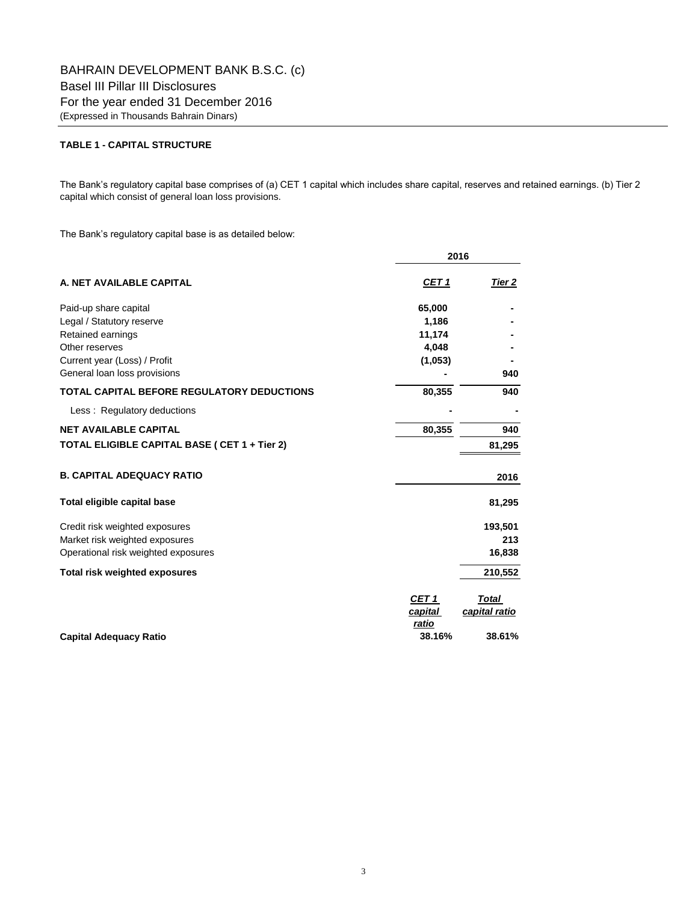### **TABLE 1 - CAPITAL STRUCTURE**

The Bank"s regulatory capital base comprises of (a) CET 1 capital which includes share capital, reserves and retained earnings. (b) Tier 2 capital which consist of general loan loss provisions.

The Bank's regulatory capital base is as detailed below:

|                                                   |                                      | 2016                          |
|---------------------------------------------------|--------------------------------------|-------------------------------|
| A. NET AVAILABLE CAPITAL                          | <u>CET 1</u>                         | Tier <sub>2</sub>             |
| Paid-up share capital                             | 65,000                               |                               |
| Legal / Statutory reserve                         | 1,186                                |                               |
| Retained earnings                                 | 11,174                               |                               |
| Other reserves                                    | 4,048                                |                               |
| Current year (Loss) / Profit                      | (1,053)                              |                               |
| General loan loss provisions                      |                                      | 940                           |
| <b>TOTAL CAPITAL BEFORE REGULATORY DEDUCTIONS</b> | 80,355                               | 940                           |
| Less: Regulatory deductions                       |                                      |                               |
| <b>NET AVAILABLE CAPITAL</b>                      | 80,355                               | 940                           |
| TOTAL ELIGIBLE CAPITAL BASE ( CET 1 + Tier 2)     |                                      | 81,295                        |
| <b>B. CAPITAL ADEQUACY RATIO</b>                  |                                      | 2016                          |
| Total eligible capital base                       |                                      | 81,295                        |
| Credit risk weighted exposures                    |                                      | 193,501                       |
| Market risk weighted exposures                    |                                      | 213                           |
| Operational risk weighted exposures               |                                      | 16,838                        |
| <b>Total risk weighted exposures</b>              |                                      | 210,552                       |
|                                                   | CET <sub>1</sub><br>capital<br>ratio | <b>Total</b><br>capital ratio |
| <b>Capital Adequacy Ratio</b>                     | 38.16%                               | 38.61%                        |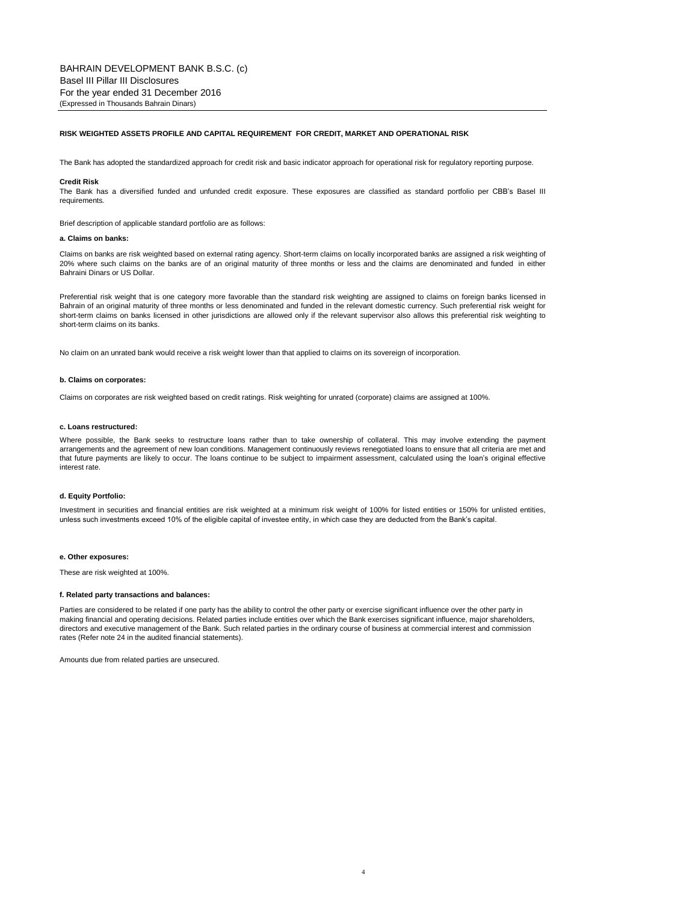#### **RISK WEIGHTED ASSETS PROFILE AND CAPITAL REQUIREMENT FOR CREDIT, MARKET AND OPERATIONAL RISK**

The Bank has adopted the standardized approach for credit risk and basic indicator approach for operational risk for regulatory reporting purpose.

#### **Credit Risk**

The Bank has a diversified funded and unfunded credit exposure. These exposures are classified as standard portfolio per CBB"s Basel III requirements.

Brief description of applicable standard portfolio are as follows:

#### **a. Claims on banks:**

Claims on banks are risk weighted based on external rating agency. Short-term claims on locally incorporated banks are assigned a risk weighting of 20% where such claims on the banks are of an original maturity of three months or less and the claims are denominated and funded in either Bahraini Dinars or US Dollar.

Preferential risk weight that is one category more favorable than the standard risk weighting are assigned to claims on foreign banks licensed in Bahrain of an original maturity of three months or less denominated and funded in the relevant domestic currency. Such preferential risk weight for short-term claims on banks licensed in other jurisdictions are allowed only if the relevant supervisor also allows this preferential risk weighting to short-term claims on its banks.

No claim on an unrated bank would receive a risk weight lower than that applied to claims on its sovereign of incorporation.

#### **b. Claims on corporates:**

Claims on corporates are risk weighted based on credit ratings. Risk weighting for unrated (corporate) claims are assigned at 100%.

#### **c. Loans restructured:**

Where possible, the Bank seeks to restructure loans rather than to take ownership of collateral. This may involve extending the payment arrangements and the agreement of new loan conditions. Management continuously reviews renegotiated loans to ensure that all criteria are met and that future payments are likely to occur. The loans continue to be subject to impairment assessment, calculated using the loan"s original effective interest rate.

#### **d. Equity Portfolio:**

Investment in securities and financial entities are risk weighted at a minimum risk weight of 100% for listed entities or 150% for unlisted entities, unless such investments exceed 10% of the eligible capital of investee entity, in which case they are deducted from the Bank"s capital.

### **e. Other exposures:**

These are risk weighted at 100%.

#### **f. Related party transactions and balances:**

Parties are considered to be related if one party has the ability to control the other party or exercise significant influence over the other party in making financial and operating decisions. Related parties include entities over which the Bank exercises significant influence, major shareholders, directors and executive management of the Bank. Such related parties in the ordinary course of business at commercial interest and commission rates (Refer note 24 in the audited financial statements).

4

Amounts due from related parties are unsecured.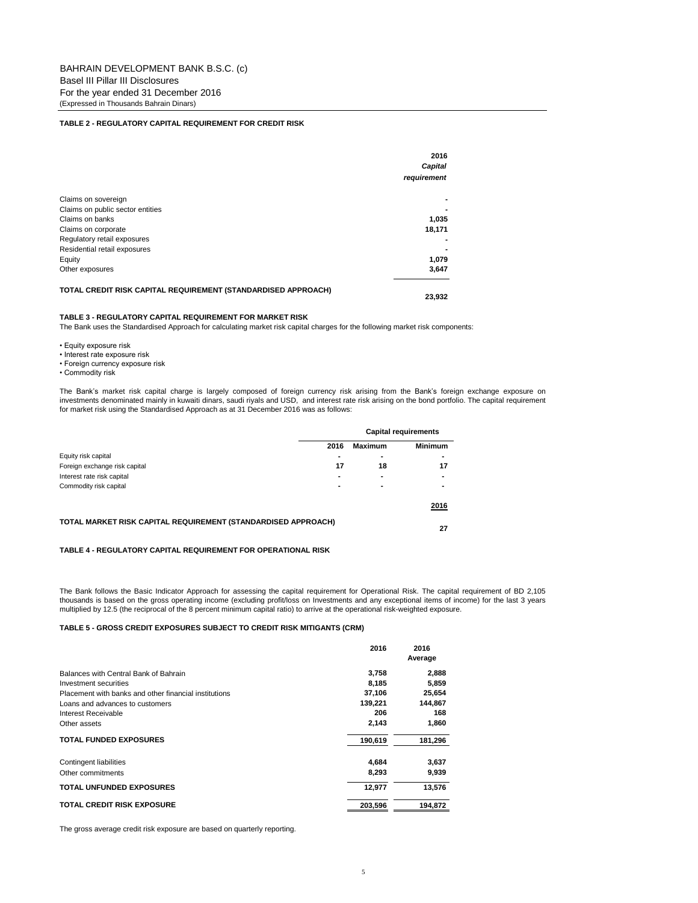#### **TABLE 2 - REGULATORY CAPITAL REQUIREMENT FOR CREDIT RISK**

|                                                               | 2016<br>Capital |
|---------------------------------------------------------------|-----------------|
|                                                               | requirement     |
| Claims on sovereign                                           |                 |
| Claims on public sector entities                              |                 |
| Claims on banks                                               | 1,035           |
| Claims on corporate                                           | 18,171          |
| Regulatory retail exposures                                   |                 |
| Residential retail exposures                                  |                 |
| Equity                                                        | 1,079           |
| Other exposures                                               | 3,647           |
| TOTAL CREDIT RISK CAPITAL REQUIREMENT (STANDARDISED APPROACH) | 23.932          |

### **TABLE 3 - REGULATORY CAPITAL REQUIREMENT FOR MARKET RISK**

The Bank uses the Standardised Approach for calculating market risk capital charges for the following market risk components:

- Equity exposure risk
- Interest rate exposure risk
- Foreign currency exposure risk
- Commodity risk

The Bank's market risk capital charge is largely composed of foreign currency risk arising from the Bank's foreign exchange exposure on investments denominated mainly in kuwaiti dinars, saudi riyals and USD, and interest rate risk arising on the bond portfolio. The capital requirement for market risk using the Standardised Approach as at 31 December 2016 was as follows:

|                                                               |      |                | <b>Capital requirements</b> |
|---------------------------------------------------------------|------|----------------|-----------------------------|
|                                                               | 2016 | <b>Maximum</b> | <b>Minimum</b>              |
| Equity risk capital                                           | ۰    | ٠              |                             |
| Foreign exchange risk capital                                 | 17   | 18             | 17                          |
| Interest rate risk capital                                    |      | ۰              |                             |
| Commodity risk capital                                        | ۰    | -              | -                           |
|                                                               |      |                | 2016                        |
| TOTAL MARKET RISK CAPITAL REQUIREMENT (STANDARDISED APPROACH) |      |                | 27                          |

### **TABLE 4 - REGULATORY CAPITAL REQUIREMENT FOR OPERATIONAL RISK**

The Bank follows the Basic Indicator Approach for assessing the capital requirement for Operational Risk. The capital requirement of BD 2,105 thousands is based on the gross operating income (excluding profit/loss on Investments and any exceptional items of income) for the last 3 years multiplied by 12.5 (the reciprocal of the 8 percent minimum capital ratio) to arrive at the operational risk-weighted exposure.

### **TABLE 5 - GROSS CREDIT EXPOSURES SUBJECT TO CREDIT RISK MITIGANTS (CRM)**

|                                                       | 2016    | 2016<br>Average |
|-------------------------------------------------------|---------|-----------------|
| Balances with Central Bank of Bahrain                 | 3.758   | 2,888           |
| Investment securities                                 | 8,185   | 5,859           |
| Placement with banks and other financial institutions | 37,106  | 25,654          |
| Loans and advances to customers                       | 139,221 | 144.867         |
| Interest Receivable                                   | 206     | 168             |
| Other assets                                          | 2,143   | 1,860           |
| <b>TOTAL FUNDED EXPOSURES</b>                         | 190,619 | 181,296         |
| Contingent liabilities                                | 4,684   | 3,637           |
| Other commitments                                     | 8,293   | 9,939           |
| <b>TOTAL UNFUNDED EXPOSURES</b>                       | 12,977  | 13.576          |
| <b>TOTAL CREDIT RISK EXPOSURE</b>                     | 203,596 | 194,872         |

The gross average credit risk exposure are based on quarterly reporting.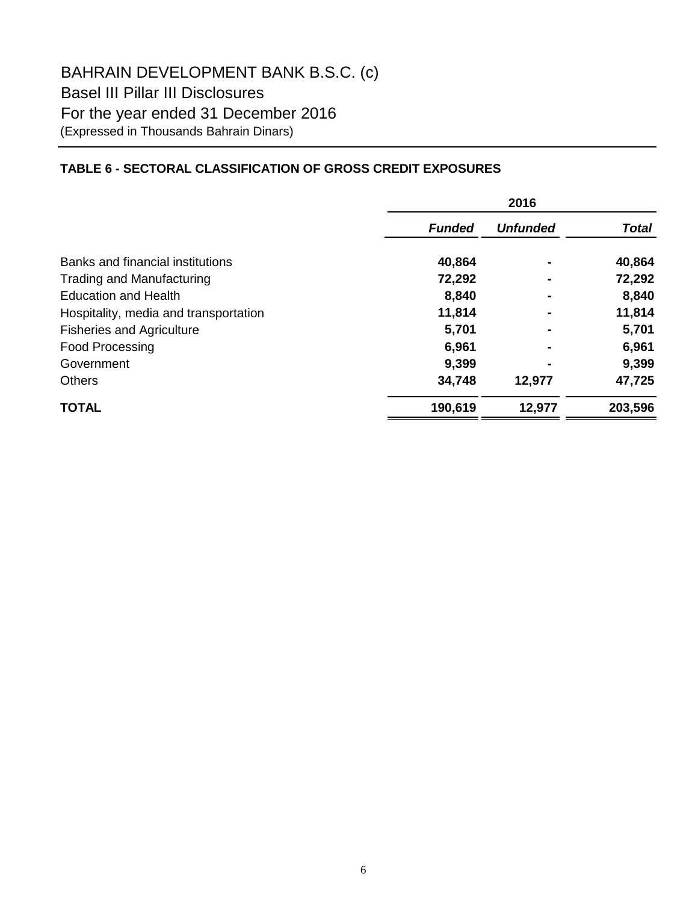## **TABLE 6 - SECTORAL CLASSIFICATION OF GROSS CREDIT EXPOSURES**

|                                       | 2016          |                 |              |  |
|---------------------------------------|---------------|-----------------|--------------|--|
|                                       | <b>Funded</b> | <b>Unfunded</b> | <b>Total</b> |  |
| Banks and financial institutions      | 40,864        |                 | 40,864       |  |
| <b>Trading and Manufacturing</b>      | 72,292        |                 | 72,292       |  |
| <b>Education and Health</b>           | 8,840         |                 | 8,840        |  |
| Hospitality, media and transportation | 11,814        |                 | 11,814       |  |
| <b>Fisheries and Agriculture</b>      | 5,701         |                 | 5,701        |  |
| Food Processing                       | 6,961         |                 | 6,961        |  |
| Government                            | 9,399         |                 | 9,399        |  |
| <b>Others</b>                         | 34,748        | 12,977          | 47,725       |  |
| <b>TOTAL</b>                          | 190,619       | 12,977          | 203,596      |  |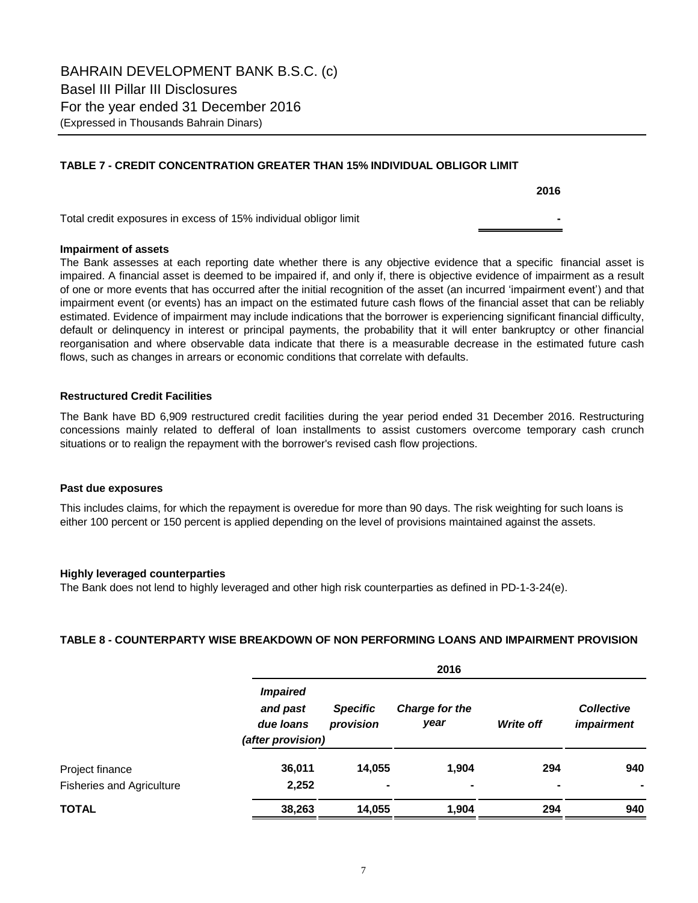BAHRAIN DEVELOPMENT BANK B.S.C. (c) Basel III Pillar III Disclosures For the year ended 31 December 2016 (Expressed in Thousands Bahrain Dinars)

## **TABLE 7 - CREDIT CONCENTRATION GREATER THAN 15% INDIVIDUAL OBLIGOR LIMIT**

Total credit exposures in excess of 15% individual obligor limit **-** 

### **Impairment of assets**

The Bank assesses at each reporting date whether there is any objective evidence that a specific financial asset is impaired. A financial asset is deemed to be impaired if, and only if, there is objective evidence of impairment as a result of one or more events that has occurred after the initial recognition of the asset (an incurred "impairment event") and that impairment event (or events) has an impact on the estimated future cash flows of the financial asset that can be reliably estimated. Evidence of impairment may include indications that the borrower is experiencing significant financial difficulty, default or delinquency in interest or principal payments, the probability that it will enter bankruptcy or other financial reorganisation and where observable data indicate that there is a measurable decrease in the estimated future cash flows, such as changes in arrears or economic conditions that correlate with defaults.

## **Restructured Credit Facilities**

The Bank have BD 6,909 restructured credit facilities during the year period ended 31 December 2016. Restructuring concessions mainly related to defferal of loan installments to assist customers overcome temporary cash crunch situations or to realign the repayment with the borrower's revised cash flow projections.

## **Past due exposures**

This includes claims, for which the repayment is overedue for more than 90 days. The risk weighting for such loans is either 100 percent or 150 percent is applied depending on the level of provisions maintained against the assets.

## **Highly leveraged counterparties**

The Bank does not lend to highly leveraged and other high risk counterparties as defined in PD-1-3-24(e).

## **TABLE 8 - COUNTERPARTY WISE BREAKDOWN OF NON PERFORMING LOANS AND IMPAIRMENT PROVISION**

|                                  | 2016                                                          |                              |                        |                  |                                 |  |  |
|----------------------------------|---------------------------------------------------------------|------------------------------|------------------------|------------------|---------------------------------|--|--|
|                                  | <b>Impaired</b><br>and past<br>due loans<br>(after provision) | <b>Specific</b><br>provision | Charge for the<br>year | <b>Write off</b> | <b>Collective</b><br>impairment |  |  |
| Project finance                  | 36,011                                                        | 14,055                       | 1,904                  | 294              | 940                             |  |  |
| <b>Fisheries and Agriculture</b> | 2,252                                                         | ۰                            | ۰                      | ۰                | ٠                               |  |  |
| <b>TOTAL</b>                     | 38,263                                                        | 14,055                       | 1,904                  | 294              | 940                             |  |  |

7

**2016**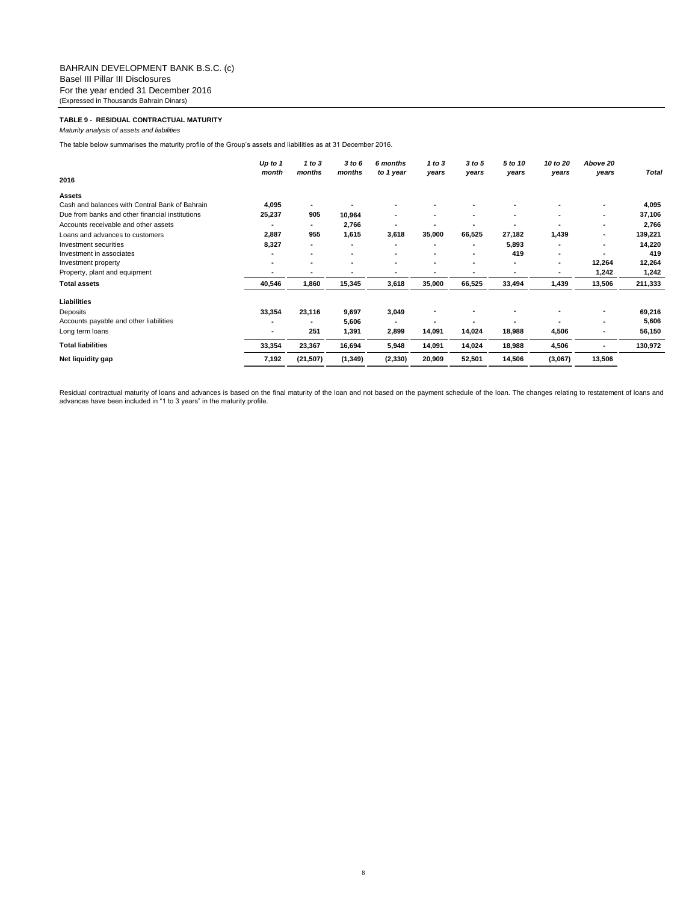### **TABLE 9 - RESIDUAL CONTRACTUAL MATURITY**

*Maturity analysis of assets and liabilities*

The table below summarises the maturity profile of the Group's assets and liabilities as at 31 December 2016.

|                                                 | Up to 1                  | 1 to 3    | 3 to 6   | 6 months  | 1 to $3$                 | 3 to 5 | 5 to 10 | 10 to 20 | Above 20       |              |
|-------------------------------------------------|--------------------------|-----------|----------|-----------|--------------------------|--------|---------|----------|----------------|--------------|
| 2016                                            | month                    | months    | months   | to 1 year | years                    | years  | years   | years    | years          | <b>Total</b> |
| <b>Assets</b>                                   |                          |           |          |           |                          |        |         |          |                |              |
| Cash and balances with Central Bank of Bahrain  | 4,095                    |           |          |           |                          |        |         |          | $\blacksquare$ | 4,095        |
| Due from banks and other financial institutions | 25,237                   | 905       | 10,964   |           | $\overline{\phantom{a}}$ |        | ۰       |          | $\blacksquare$ | 37,106       |
| Accounts receivable and other assets            |                          |           | 2,766    |           |                          |        |         |          |                | 2,766        |
| Loans and advances to customers                 | 2,887                    | 955       | 1,615    | 3,618     | 35,000                   | 66,525 | 27,182  | 1,439    | $\blacksquare$ | 139,221      |
| Investment securities                           | 8,327                    |           | ٠        |           |                          |        | 5,893   |          | $\blacksquare$ | 14,220       |
| Investment in associates                        | ٠                        |           |          |           | $\overline{\phantom{a}}$ |        | 419     |          |                | 419          |
| Investment property                             | ٠                        |           |          |           | $\overline{\phantom{a}}$ |        |         |          | 12,264         | 12,264       |
| Property, plant and equipment                   | ٠                        |           |          |           |                          |        |         |          | 1,242          | 1,242        |
| <b>Total assets</b>                             | 40,546                   | 1,860     | 15,345   | 3,618     | 35,000                   | 66,525 | 33,494  | 1,439    | 13,506         | 211,333      |
| Liabilities                                     |                          |           |          |           |                          |        |         |          |                |              |
| Deposits                                        | 33,354                   | 23,116    | 9,697    | 3,049     | ٠                        |        |         |          | $\blacksquare$ | 69,216       |
| Accounts payable and other liabilities          | ٠                        |           | 5,606    |           |                          |        |         |          | $\blacksquare$ | 5,606        |
| Long term loans                                 | $\overline{\phantom{a}}$ | 251       | 1,391    | 2,899     | 14,091                   | 14,024 | 18,988  | 4,506    | $\blacksquare$ | 56,150       |
| <b>Total liabilities</b>                        | 33,354                   | 23,367    | 16,694   | 5,948     | 14,091                   | 14,024 | 18,988  | 4,506    |                | 130,972      |
| Net liquidity gap                               | 7,192                    | (21, 507) | (1, 349) | (2, 330)  | 20,909                   | 52,501 | 14,506  | (3,067)  | 13,506         |              |

Residual contractual maturity of loans and advances is based on the final maturity of the loan and not based on the payment schedule of the loan. The changes relating to restatement of loans and<br>advances have been included

8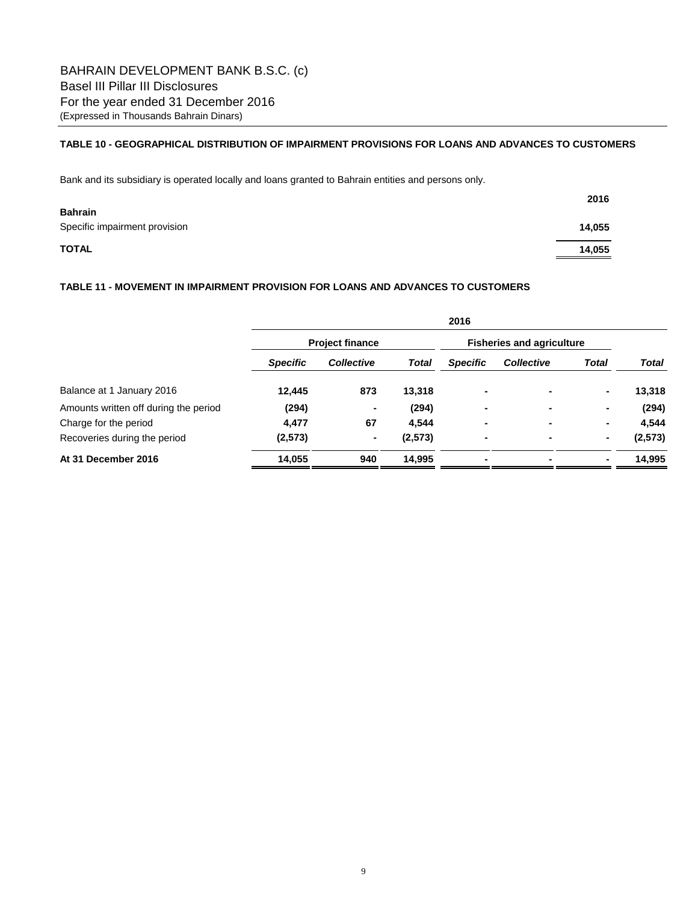### **TABLE 10 - GEOGRAPHICAL DISTRIBUTION OF IMPAIRMENT PROVISIONS FOR LOANS AND ADVANCES TO CUSTOMERS**

Bank and its subsidiary is operated locally and loans granted to Bahrain entities and persons only.

|                               | 2016   |
|-------------------------------|--------|
| <b>Bahrain</b>                |        |
| Specific impairment provision | 14,055 |
| <b>TOTAL</b>                  | 14,055 |

### **TABLE 11 - MOVEMENT IN IMPAIRMENT PROVISION FOR LOANS AND ADVANCES TO CUSTOMERS**

|                                       |                        |                   |              | 2016                             |                   |                |          |
|---------------------------------------|------------------------|-------------------|--------------|----------------------------------|-------------------|----------------|----------|
|                                       | <b>Project finance</b> |                   |              | <b>Fisheries and agriculture</b> |                   |                |          |
|                                       | <b>Specific</b>        | <b>Collective</b> | <b>Total</b> | <b>Specific</b>                  | <b>Collective</b> | <b>Total</b>   | Total    |
| Balance at 1 January 2016             | 12,445                 | 873               | 13,318       | ۰                                | $\blacksquare$    | $\blacksquare$ | 13,318   |
| Amounts written off during the period | (294)                  | ۰.                | (294)        | ۰                                | $\blacksquare$    | $\sim$         | (294)    |
| Charge for the period                 | 4,477                  | 67                | 4.544        | $\sim$                           | ۰                 | $\blacksquare$ | 4.544    |
| Recoveries during the period          | (2, 573)               | ۰.                | (2,573)      | $\blacksquare$                   | ۰                 | $\blacksquare$ | (2, 573) |
| At 31 December 2016                   | 14,055                 | 940               | 14,995       | $\blacksquare$                   | $\blacksquare$    | ۰              | 14,995   |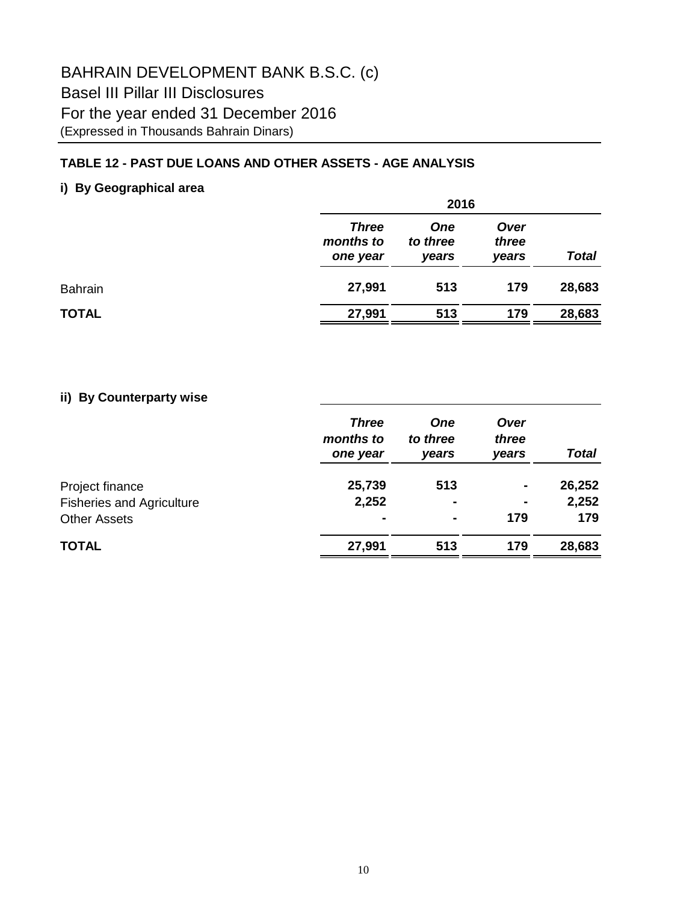# BAHRAIN DEVELOPMENT BANK B.S.C. (c) Basel III Pillar III Disclosures For the year ended 31 December 2016 (Expressed in Thousands Bahrain Dinars)

# **TABLE 12 - PAST DUE LOANS AND OTHER ASSETS - AGE ANALYSIS**

## **i) By Geographical area**

|                | 2016                                  |                          |                        |              |  |
|----------------|---------------------------------------|--------------------------|------------------------|--------------|--|
|                | <b>Three</b><br>months to<br>one year | One<br>to three<br>vears | Over<br>three<br>vears | <b>Total</b> |  |
| <b>Bahrain</b> | 27,991                                | 513                      | 179                    | 28,683       |  |
| <b>TOTAL</b>   | 27,991                                | 513                      | 179                    | 28,683       |  |

## **ii) By Counterparty wise**

|                                  | <b>Three</b><br>months to<br>one year | <b>One</b><br>to three<br>years | Over<br>three<br>years | <b>Total</b> |
|----------------------------------|---------------------------------------|---------------------------------|------------------------|--------------|
| Project finance                  | 25,739                                | 513                             | ٠                      | 26,252       |
| <b>Fisheries and Agriculture</b> | 2,252                                 | $\blacksquare$                  | ۰                      | 2,252        |
| <b>Other Assets</b>              | $\blacksquare$                        | $\blacksquare$                  | 179                    | 179          |
| <b>TOTAL</b>                     | 27,991                                | 513                             | 179                    | 28,683       |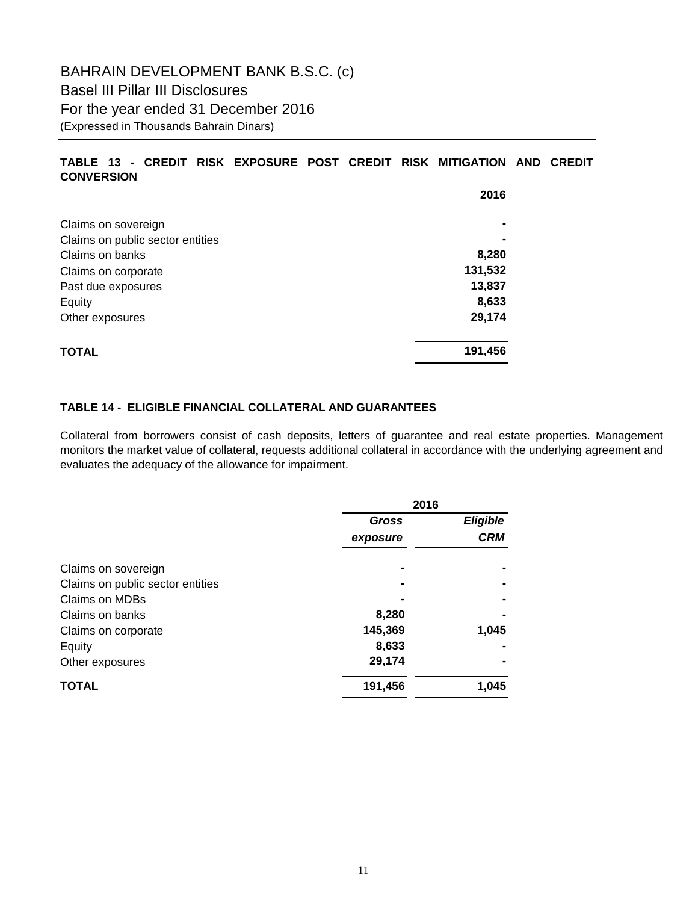### **TABLE 13 - CREDIT RISK EXPOSURE POST CREDIT RISK MITIGATION AND CREDIT CONVERSION**

|                                  | 2016    |
|----------------------------------|---------|
| Claims on sovereign              |         |
| Claims on public sector entities |         |
| Claims on banks                  | 8,280   |
| Claims on corporate              | 131,532 |
| Past due exposures               | 13,837  |
| Equity                           | 8,633   |
| Other exposures                  | 29,174  |
| <b>TOTAL</b>                     | 191,456 |

## **TABLE 14 - ELIGIBLE FINANCIAL COLLATERAL AND GUARANTEES**

Collateral from borrowers consist of cash deposits, letters of guarantee and real estate properties. Management monitors the market value of collateral, requests additional collateral in accordance with the underlying agreement and evaluates the adequacy of the allowance for impairment.

|                                  | 2016           |            |
|----------------------------------|----------------|------------|
|                                  | <b>Gross</b>   | Eligible   |
|                                  | exposure       | <b>CRM</b> |
| Claims on sovereign              | $\blacksquare$ |            |
| Claims on public sector entities | $\blacksquare$ |            |
| <b>Claims on MDBs</b>            | $\blacksquare$ |            |
| Claims on banks                  | 8,280          |            |
| Claims on corporate              | 145,369        | 1,045      |
| Equity                           | 8,633          |            |
| Other exposures                  | 29,174         |            |
| <b>TOTAL</b>                     | 191,456        | 1,045      |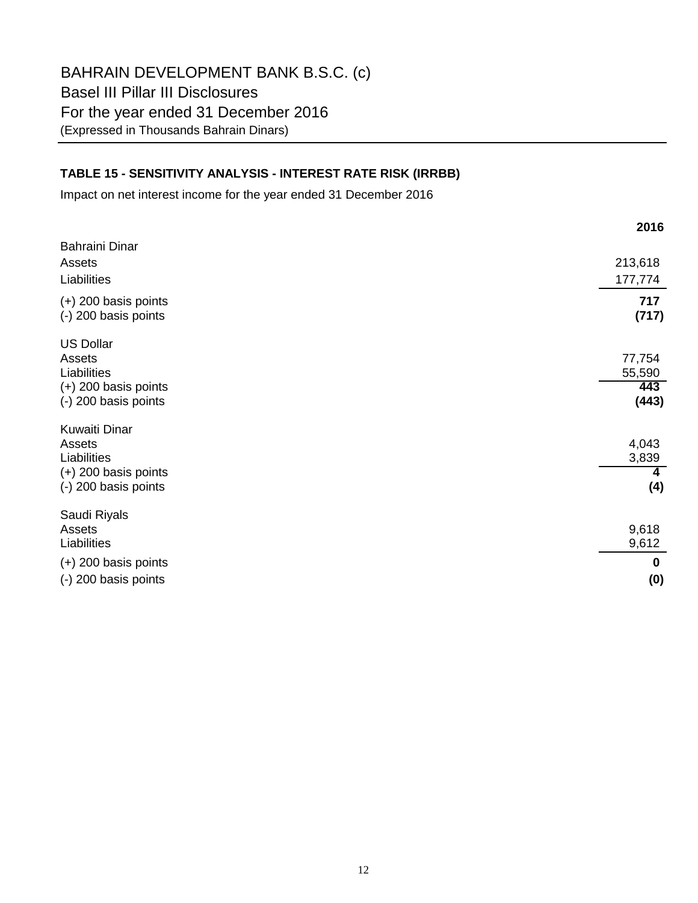## **TABLE 15 - SENSITIVITY ANALYSIS - INTEREST RATE RISK (IRRBB)**

Impact on net interest income for the year ended 31 December 2016

|                        | 2016     |
|------------------------|----------|
| <b>Bahraini Dinar</b>  |          |
| Assets                 | 213,618  |
| Liabilities            | 177,774  |
| $(+)$ 200 basis points | 717      |
| (-) 200 basis points   | (717)    |
|                        |          |
| <b>US Dollar</b>       |          |
| Assets                 | 77,754   |
| Liabilities            | 55,590   |
| $(+)$ 200 basis points | 443      |
| (-) 200 basis points   | (443)    |
|                        |          |
| <b>Kuwaiti Dinar</b>   |          |
| Assets                 | 4,043    |
| Liabilities            | 3,839    |
| $(+)$ 200 basis points | 4        |
| (-) 200 basis points   | (4)      |
| Saudi Riyals           |          |
| Assets                 | 9,618    |
| Liabilities            | 9,612    |
| $(+)$ 200 basis points | $\bf{0}$ |
|                        |          |
| (-) 200 basis points   | (0)      |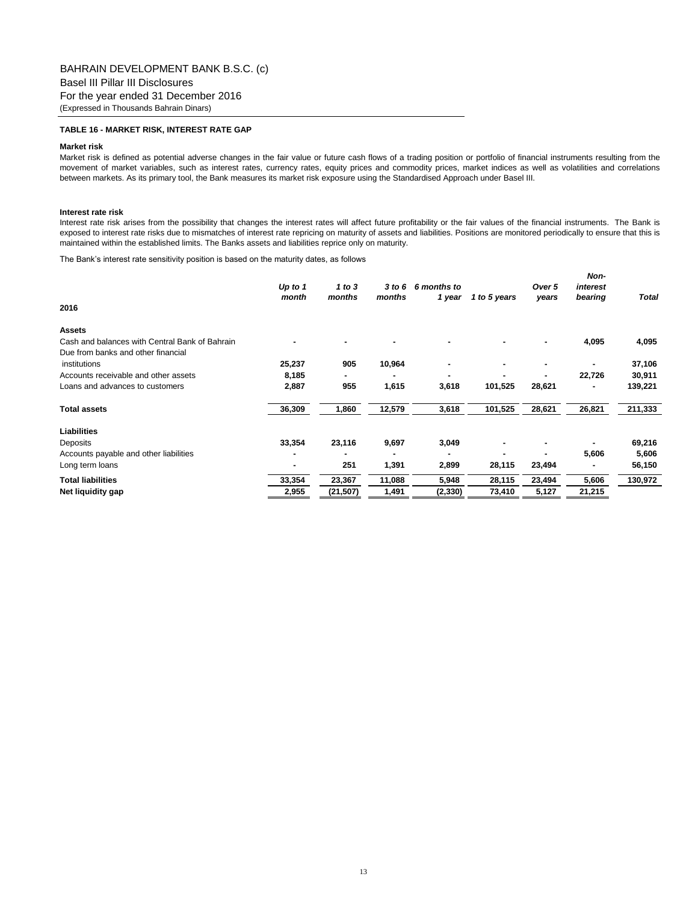### **TABLE 16 - MARKET RISK, INTEREST RATE GAP**

#### **Market risk**

Market risk is defined as potential adverse changes in the fair value or future cash flows of a trading position or portfolio of financial instruments resulting from the movement of market variables, such as interest rates, currency rates, equity prices and commodity prices, market indices as well as volatilities and correlations between markets. As its primary tool, the Bank measures its market risk exposure using the Standardised Approach under Basel III.

#### **Interest rate risk**

Interest rate risk arises from the possibility that changes the interest rates will affect future profitability or the fair values of the financial instruments. The Bank is exposed to interest rate risks due to mismatches of interest rate repricing on maturity of assets and liabilities. Positions are monitored periodically to ensure that this is maintained within the established limits. The Banks assets and liabilities reprice only on maturity.

The Bank's interest rate sensitivity position is based on the maturity dates, as follows

|                                                | Up to $1$<br>month | 1 to $3$<br>months | 3 to 6<br>months | 6 months to<br>1 year | 1 to 5 years | Over 5<br>years | Non-<br>interest<br>bearing | Total   |
|------------------------------------------------|--------------------|--------------------|------------------|-----------------------|--------------|-----------------|-----------------------------|---------|
| 2016                                           |                    |                    |                  |                       |              |                 |                             |         |
| <b>Assets</b>                                  |                    |                    |                  |                       |              |                 |                             |         |
| Cash and balances with Central Bank of Bahrain |                    |                    |                  | ۰                     |              | ٠               | 4,095                       | 4,095   |
| Due from banks and other financial             |                    |                    |                  |                       |              |                 |                             |         |
| institutions                                   | 25,237             | 905                | 10,964           | ۰                     |              | ٠               |                             | 37,106  |
| Accounts receivable and other assets           | 8,185              |                    |                  | ٠                     |              | ٠               | 22,726                      | 30,911  |
| Loans and advances to customers                | 2,887              | 955                | 1,615            | 3,618                 | 101,525      | 28,621          |                             | 139,221 |
| <b>Total assets</b>                            | 36,309             | 1,860              | 12,579           | 3,618                 | 101,525      | 28,621          | 26,821                      | 211,333 |
| <b>Liabilities</b>                             |                    |                    |                  |                       |              |                 |                             |         |
| Deposits                                       | 33,354             | 23,116             | 9,697            | 3,049                 |              |                 |                             | 69,216  |
| Accounts payable and other liabilities         |                    |                    |                  | ۰                     |              |                 | 5,606                       | 5,606   |
| Long term loans                                |                    | 251                | 1,391            | 2,899                 | 28,115       | 23,494          |                             | 56,150  |
| <b>Total liabilities</b>                       | 33,354             | 23,367             | 11,088           | 5,948                 | 28,115       | 23,494          | 5,606                       | 130,972 |
| Net liquidity gap                              | 2,955              | (21, 507)          | 1,491            | (2, 330)              | 73,410       | 5,127           | 21,215                      |         |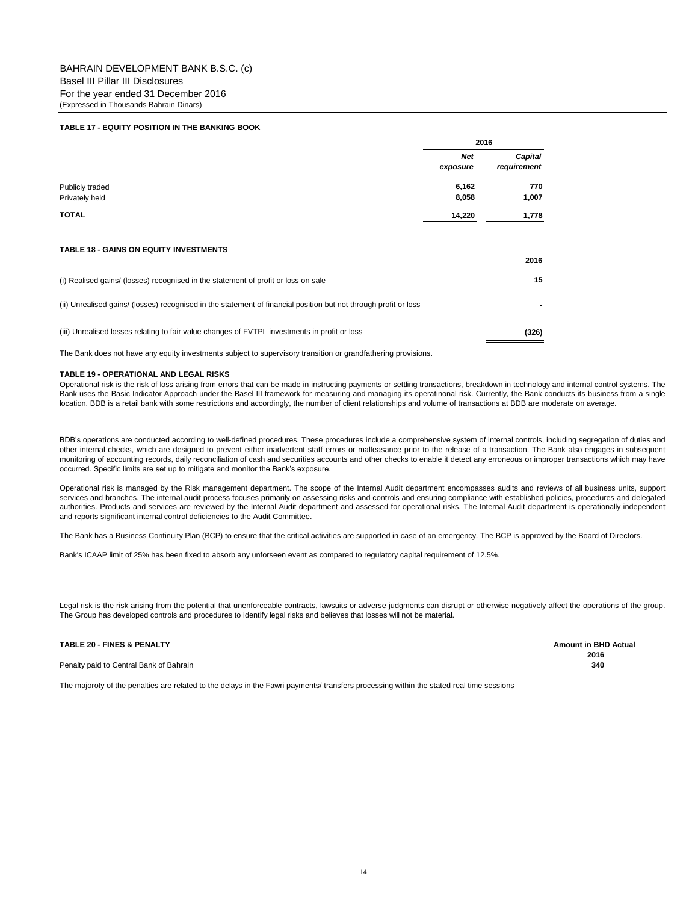### **TABLE 17 - EQUITY POSITION IN THE BANKING BOOK**

|                                                                                                                  | 2016                   |                        |
|------------------------------------------------------------------------------------------------------------------|------------------------|------------------------|
|                                                                                                                  | <b>Net</b><br>exposure | Capital<br>requirement |
| Publicly traded                                                                                                  | 6,162                  | 770                    |
| Privately held                                                                                                   | 8,058                  | 1,007                  |
| <b>TOTAL</b>                                                                                                     | 14,220                 | 1,778                  |
| <b>TABLE 18 - GAINS ON EQUITY INVESTMENTS</b>                                                                    |                        | 2016                   |
| (i) Realised gains/ (losses) recognised in the statement of profit or loss on sale                               |                        | 15                     |
| (ii) Unrealised gains/ (losses) recognised in the statement of financial position but not through profit or loss |                        |                        |
| (iii) Unrealised losses relating to fair value changes of FVTPL investments in profit or loss                    |                        | (326)                  |

The Bank does not have any equity investments subject to supervisory transition or grandfathering provisions.

#### **TABLE 19 - OPERATIONAL AND LEGAL RISKS**

Operational risk is the risk of loss arising from errors that can be made in instructing payments or settling transactions, breakdown in technology and internal control systems. The Bank uses the Basic Indicator Approach under the Basel III framework for measuring and managing its operatinonal risk. Currently, the Bank conducts its business from a single location. BDB is a retail bank with some restrictions and accordingly, the number of client relationships and volume of transactions at BDB are moderate on average.

BDB's operations are conducted according to well-defined procedures. These procedures include a comprehensive system of internal controls, including segregation of duties and other internal checks, which are designed to prevent either inadvertent staff errors or malfeasance prior to the release of a transaction. The Bank also engages in subsequent monitoring of accounting records, daily reconciliation of cash and securities accounts and other checks to enable it detect any erroneous or improper transactions which may have occurred. Specific limits are set up to mitigate and monitor the Bank"s exposure.

Operational risk is managed by the Risk management department. The scope of the Internal Audit department encompasses audits and reviews of all business units, support services and branches. The internal audit process focuses primarily on assessing risks and controls and ensuring compliance with established policies, procedures and delegated authorities. Products and services are reviewed by the Internal Audit department and assessed for operational risks. The Internal Audit department is operationally independent and reports significant internal control deficiencies to the Audit Committee.

The Bank has a Business Continuity Plan (BCP) to ensure that the critical activities are supported in case of an emergency. The BCP is approved by the Board of Directors.

Bank's ICAAP limit of 25% has been fixed to absorb any unforseen event as compared to regulatory capital requirement of 12.5%.

Legal risk is the risk arising from the potential that unenforceable contracts, lawsuits or adverse judgments can disrupt or otherwise negatively affect the operations of the group. The Group has developed controls and procedures to identify legal risks and believes that losses will not be material.

**2016**

### **TABLE 20 - FINES & PENALTY Amount in BHD Actual**

Penalty paid to Central Bank of Bahrain **340**

The majoroty of the penalties are related to the delays in the Fawri payments/ transfers processing within the stated real time sessions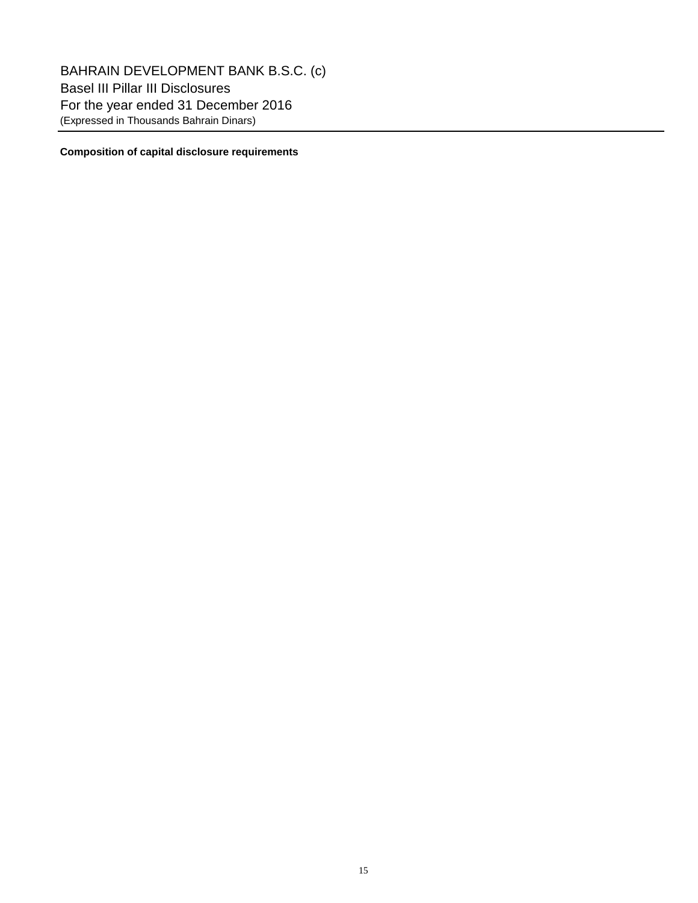## **Composition of capital disclosure requirements**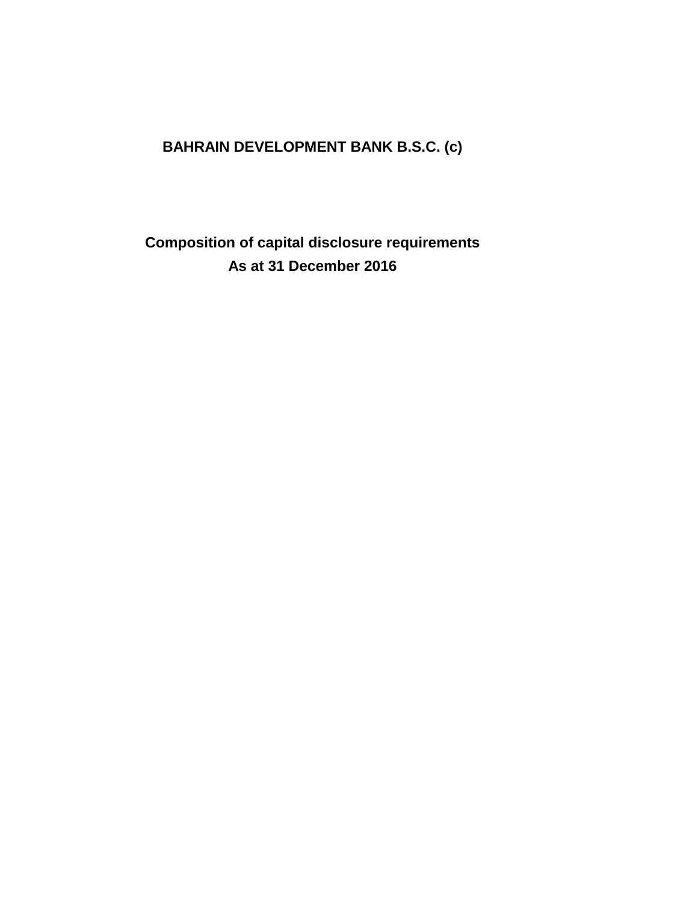# **BAHRAIN DEVELOPMENT BANK B.S.C. (c)**

**Composition of capital disclosure requirements As at 31 December 2016**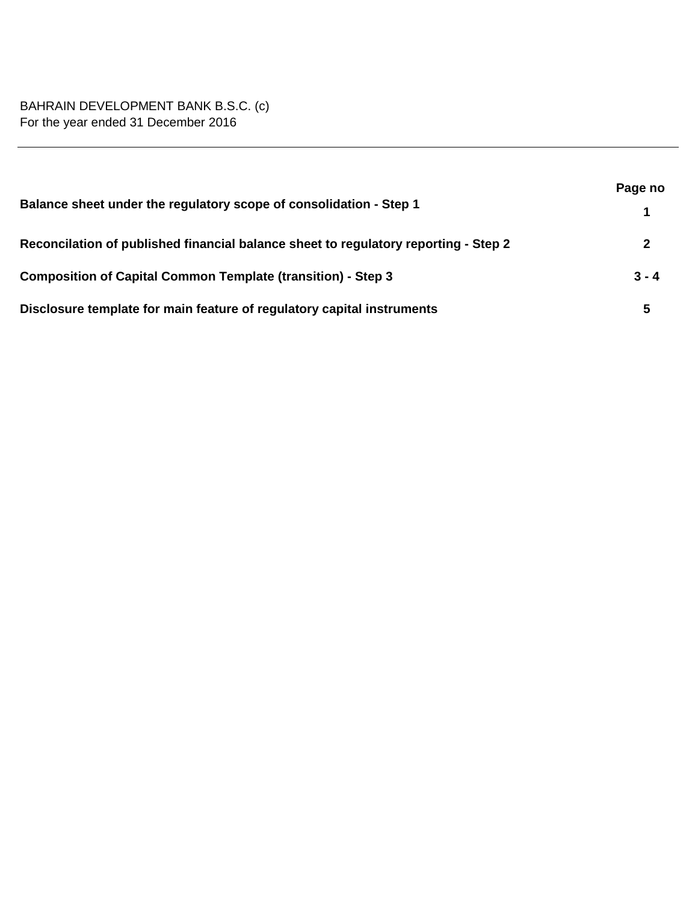## BAHRAIN DEVELOPMENT BANK B.S.C. (c) For the year ended 31 December 2016

|                                                                                     | Page no |
|-------------------------------------------------------------------------------------|---------|
| Balance sheet under the regulatory scope of consolidation - Step 1                  |         |
| Reconcilation of published financial balance sheet to regulatory reporting - Step 2 | 2       |
| <b>Composition of Capital Common Template (transition) - Step 3</b>                 | $3 - 4$ |
| Disclosure template for main feature of regulatory capital instruments              | 5       |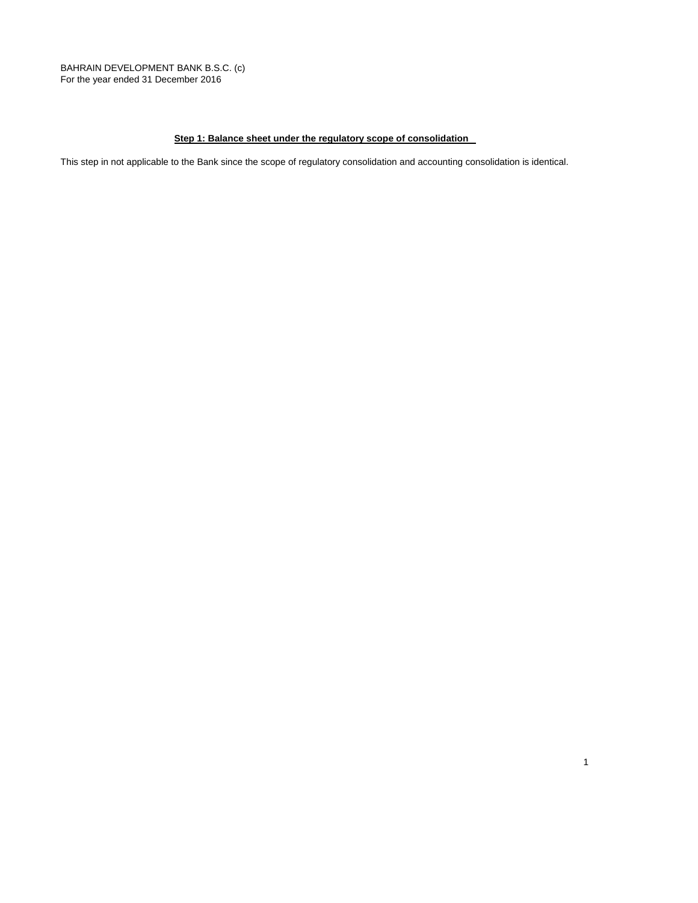BAHRAIN DEVELOPMENT BANK B.S.C. (c) For the year ended 31 December 2016

### **Step 1: Balance sheet under the regulatory scope of consolidation**

This step in not applicable to the Bank since the scope of regulatory consolidation and accounting consolidation is identical.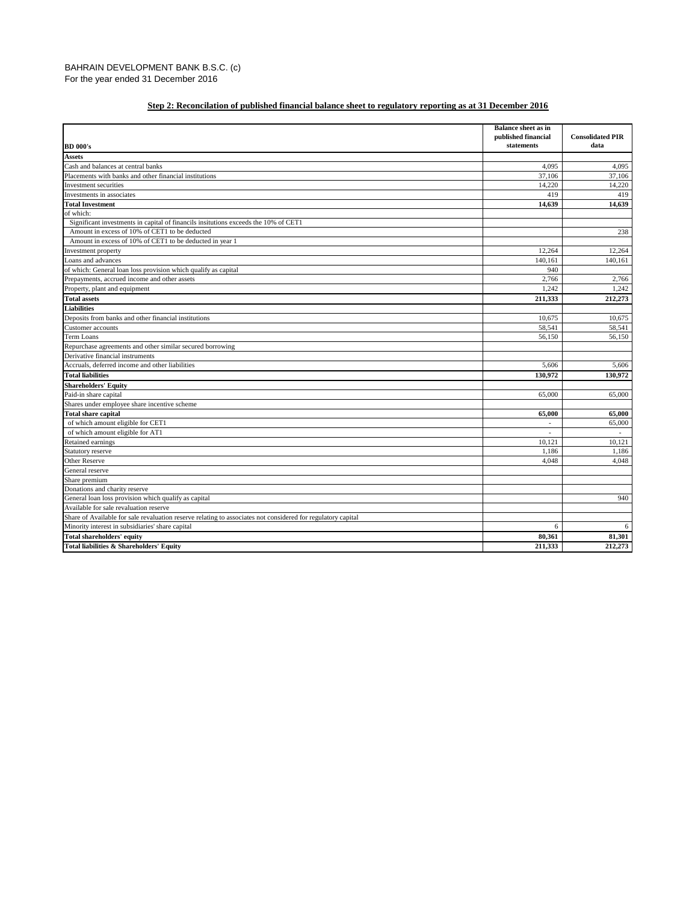### **Step 2: Reconcilation of published financial balance sheet to regulatory reporting as at 31 December 2016**

| <b>BD</b> 000's<br><b>Assets</b><br>Cash and balances at central banks<br>4,095<br>4,095<br>Placements with banks and other financial institutions<br>37,106<br>37,106<br>Investment securities<br>14,220<br>14,220<br>Investments in associates<br>419<br>419<br><b>Total Investment</b><br>14,639<br>14,639<br>of which:<br>Significant investments in capital of financils insitutions exceeds the 10% of CET1<br>Amount in excess of 10% of CET1 to be deducted<br>238<br>Amount in excess of 10% of CET1 to be deducted in year 1<br>Investment property<br>12,264<br>12,264<br>Loans and advances<br>of which: General loan loss provision which qualify as capital<br>140,161<br>140,161<br>940<br>Prepayments, accrued income and other assets<br>2,766<br>2,766<br>Property, plant and equipment<br>1,242<br>1,242<br>Total assets<br>211,333<br>212,273<br><b>Liabilities</b><br>Deposits from banks and other financial institutions<br>Customer accounts<br>10,675<br>10,675<br>58,541<br>58,541<br>Term Loans<br>56,150<br>56,150<br>Repurchase agreements and other similar secured borrowing<br>Derivative financial instruments<br>Accruals, deferred income and other liabilities<br>5,606<br>5,606<br><b>Total liabilities</b><br>130.972<br>130,972<br><b>Shareholders' Equity</b><br>Paid-in share capital<br>65,000<br>65,000<br>Shares under employee share incentive scheme<br>Total share capital<br>65,000<br>65,000<br>of which amount eligible for CET1<br>65,000<br>of which amount eligible for AT1<br>Retained earnings<br>10.121<br>10.121<br>Statutory reserve<br>Other Reserve<br>1.186<br>4,048<br>4.048<br>General reserve<br>Share premium<br>Donations and charity reserve<br>General loan loss provision which qualify as capital<br>940<br>Available for sale revaluation reserve<br>Share of Available for sale revaluation reserve relating to associates not considered for regulatory capital<br>Minority interest in subsidiaries' share capital<br>6<br><b>Total shareholders' equity</b><br>81,301<br>80,361<br>Total liabilities & Shareholders' Equity<br>211,333<br>212,273 | <b>Balance</b> sheet as in<br>published financial<br>statements | <b>Consolidated PIR</b><br>data |
|------------------------------------------------------------------------------------------------------------------------------------------------------------------------------------------------------------------------------------------------------------------------------------------------------------------------------------------------------------------------------------------------------------------------------------------------------------------------------------------------------------------------------------------------------------------------------------------------------------------------------------------------------------------------------------------------------------------------------------------------------------------------------------------------------------------------------------------------------------------------------------------------------------------------------------------------------------------------------------------------------------------------------------------------------------------------------------------------------------------------------------------------------------------------------------------------------------------------------------------------------------------------------------------------------------------------------------------------------------------------------------------------------------------------------------------------------------------------------------------------------------------------------------------------------------------------------------------------------------------------------------------------------------------------------------------------------------------------------------------------------------------------------------------------------------------------------------------------------------------------------------------------------------------------------------------------------------------------------------------------------------------------------------------------------------------------------------------------------------------------------|-----------------------------------------------------------------|---------------------------------|
|                                                                                                                                                                                                                                                                                                                                                                                                                                                                                                                                                                                                                                                                                                                                                                                                                                                                                                                                                                                                                                                                                                                                                                                                                                                                                                                                                                                                                                                                                                                                                                                                                                                                                                                                                                                                                                                                                                                                                                                                                                                                                                                              |                                                                 |                                 |
|                                                                                                                                                                                                                                                                                                                                                                                                                                                                                                                                                                                                                                                                                                                                                                                                                                                                                                                                                                                                                                                                                                                                                                                                                                                                                                                                                                                                                                                                                                                                                                                                                                                                                                                                                                                                                                                                                                                                                                                                                                                                                                                              |                                                                 |                                 |
|                                                                                                                                                                                                                                                                                                                                                                                                                                                                                                                                                                                                                                                                                                                                                                                                                                                                                                                                                                                                                                                                                                                                                                                                                                                                                                                                                                                                                                                                                                                                                                                                                                                                                                                                                                                                                                                                                                                                                                                                                                                                                                                              |                                                                 |                                 |
|                                                                                                                                                                                                                                                                                                                                                                                                                                                                                                                                                                                                                                                                                                                                                                                                                                                                                                                                                                                                                                                                                                                                                                                                                                                                                                                                                                                                                                                                                                                                                                                                                                                                                                                                                                                                                                                                                                                                                                                                                                                                                                                              |                                                                 |                                 |
|                                                                                                                                                                                                                                                                                                                                                                                                                                                                                                                                                                                                                                                                                                                                                                                                                                                                                                                                                                                                                                                                                                                                                                                                                                                                                                                                                                                                                                                                                                                                                                                                                                                                                                                                                                                                                                                                                                                                                                                                                                                                                                                              |                                                                 |                                 |
|                                                                                                                                                                                                                                                                                                                                                                                                                                                                                                                                                                                                                                                                                                                                                                                                                                                                                                                                                                                                                                                                                                                                                                                                                                                                                                                                                                                                                                                                                                                                                                                                                                                                                                                                                                                                                                                                                                                                                                                                                                                                                                                              |                                                                 |                                 |
|                                                                                                                                                                                                                                                                                                                                                                                                                                                                                                                                                                                                                                                                                                                                                                                                                                                                                                                                                                                                                                                                                                                                                                                                                                                                                                                                                                                                                                                                                                                                                                                                                                                                                                                                                                                                                                                                                                                                                                                                                                                                                                                              |                                                                 |                                 |
|                                                                                                                                                                                                                                                                                                                                                                                                                                                                                                                                                                                                                                                                                                                                                                                                                                                                                                                                                                                                                                                                                                                                                                                                                                                                                                                                                                                                                                                                                                                                                                                                                                                                                                                                                                                                                                                                                                                                                                                                                                                                                                                              |                                                                 |                                 |
|                                                                                                                                                                                                                                                                                                                                                                                                                                                                                                                                                                                                                                                                                                                                                                                                                                                                                                                                                                                                                                                                                                                                                                                                                                                                                                                                                                                                                                                                                                                                                                                                                                                                                                                                                                                                                                                                                                                                                                                                                                                                                                                              |                                                                 |                                 |
|                                                                                                                                                                                                                                                                                                                                                                                                                                                                                                                                                                                                                                                                                                                                                                                                                                                                                                                                                                                                                                                                                                                                                                                                                                                                                                                                                                                                                                                                                                                                                                                                                                                                                                                                                                                                                                                                                                                                                                                                                                                                                                                              |                                                                 |                                 |
|                                                                                                                                                                                                                                                                                                                                                                                                                                                                                                                                                                                                                                                                                                                                                                                                                                                                                                                                                                                                                                                                                                                                                                                                                                                                                                                                                                                                                                                                                                                                                                                                                                                                                                                                                                                                                                                                                                                                                                                                                                                                                                                              |                                                                 |                                 |
|                                                                                                                                                                                                                                                                                                                                                                                                                                                                                                                                                                                                                                                                                                                                                                                                                                                                                                                                                                                                                                                                                                                                                                                                                                                                                                                                                                                                                                                                                                                                                                                                                                                                                                                                                                                                                                                                                                                                                                                                                                                                                                                              |                                                                 |                                 |
|                                                                                                                                                                                                                                                                                                                                                                                                                                                                                                                                                                                                                                                                                                                                                                                                                                                                                                                                                                                                                                                                                                                                                                                                                                                                                                                                                                                                                                                                                                                                                                                                                                                                                                                                                                                                                                                                                                                                                                                                                                                                                                                              |                                                                 |                                 |
|                                                                                                                                                                                                                                                                                                                                                                                                                                                                                                                                                                                                                                                                                                                                                                                                                                                                                                                                                                                                                                                                                                                                                                                                                                                                                                                                                                                                                                                                                                                                                                                                                                                                                                                                                                                                                                                                                                                                                                                                                                                                                                                              |                                                                 |                                 |
|                                                                                                                                                                                                                                                                                                                                                                                                                                                                                                                                                                                                                                                                                                                                                                                                                                                                                                                                                                                                                                                                                                                                                                                                                                                                                                                                                                                                                                                                                                                                                                                                                                                                                                                                                                                                                                                                                                                                                                                                                                                                                                                              |                                                                 |                                 |
|                                                                                                                                                                                                                                                                                                                                                                                                                                                                                                                                                                                                                                                                                                                                                                                                                                                                                                                                                                                                                                                                                                                                                                                                                                                                                                                                                                                                                                                                                                                                                                                                                                                                                                                                                                                                                                                                                                                                                                                                                                                                                                                              |                                                                 |                                 |
|                                                                                                                                                                                                                                                                                                                                                                                                                                                                                                                                                                                                                                                                                                                                                                                                                                                                                                                                                                                                                                                                                                                                                                                                                                                                                                                                                                                                                                                                                                                                                                                                                                                                                                                                                                                                                                                                                                                                                                                                                                                                                                                              |                                                                 |                                 |
|                                                                                                                                                                                                                                                                                                                                                                                                                                                                                                                                                                                                                                                                                                                                                                                                                                                                                                                                                                                                                                                                                                                                                                                                                                                                                                                                                                                                                                                                                                                                                                                                                                                                                                                                                                                                                                                                                                                                                                                                                                                                                                                              |                                                                 |                                 |
|                                                                                                                                                                                                                                                                                                                                                                                                                                                                                                                                                                                                                                                                                                                                                                                                                                                                                                                                                                                                                                                                                                                                                                                                                                                                                                                                                                                                                                                                                                                                                                                                                                                                                                                                                                                                                                                                                                                                                                                                                                                                                                                              |                                                                 |                                 |
|                                                                                                                                                                                                                                                                                                                                                                                                                                                                                                                                                                                                                                                                                                                                                                                                                                                                                                                                                                                                                                                                                                                                                                                                                                                                                                                                                                                                                                                                                                                                                                                                                                                                                                                                                                                                                                                                                                                                                                                                                                                                                                                              |                                                                 |                                 |
|                                                                                                                                                                                                                                                                                                                                                                                                                                                                                                                                                                                                                                                                                                                                                                                                                                                                                                                                                                                                                                                                                                                                                                                                                                                                                                                                                                                                                                                                                                                                                                                                                                                                                                                                                                                                                                                                                                                                                                                                                                                                                                                              |                                                                 |                                 |
|                                                                                                                                                                                                                                                                                                                                                                                                                                                                                                                                                                                                                                                                                                                                                                                                                                                                                                                                                                                                                                                                                                                                                                                                                                                                                                                                                                                                                                                                                                                                                                                                                                                                                                                                                                                                                                                                                                                                                                                                                                                                                                                              |                                                                 |                                 |
|                                                                                                                                                                                                                                                                                                                                                                                                                                                                                                                                                                                                                                                                                                                                                                                                                                                                                                                                                                                                                                                                                                                                                                                                                                                                                                                                                                                                                                                                                                                                                                                                                                                                                                                                                                                                                                                                                                                                                                                                                                                                                                                              |                                                                 |                                 |
|                                                                                                                                                                                                                                                                                                                                                                                                                                                                                                                                                                                                                                                                                                                                                                                                                                                                                                                                                                                                                                                                                                                                                                                                                                                                                                                                                                                                                                                                                                                                                                                                                                                                                                                                                                                                                                                                                                                                                                                                                                                                                                                              |                                                                 |                                 |
|                                                                                                                                                                                                                                                                                                                                                                                                                                                                                                                                                                                                                                                                                                                                                                                                                                                                                                                                                                                                                                                                                                                                                                                                                                                                                                                                                                                                                                                                                                                                                                                                                                                                                                                                                                                                                                                                                                                                                                                                                                                                                                                              |                                                                 |                                 |
|                                                                                                                                                                                                                                                                                                                                                                                                                                                                                                                                                                                                                                                                                                                                                                                                                                                                                                                                                                                                                                                                                                                                                                                                                                                                                                                                                                                                                                                                                                                                                                                                                                                                                                                                                                                                                                                                                                                                                                                                                                                                                                                              |                                                                 |                                 |
|                                                                                                                                                                                                                                                                                                                                                                                                                                                                                                                                                                                                                                                                                                                                                                                                                                                                                                                                                                                                                                                                                                                                                                                                                                                                                                                                                                                                                                                                                                                                                                                                                                                                                                                                                                                                                                                                                                                                                                                                                                                                                                                              |                                                                 |                                 |
|                                                                                                                                                                                                                                                                                                                                                                                                                                                                                                                                                                                                                                                                                                                                                                                                                                                                                                                                                                                                                                                                                                                                                                                                                                                                                                                                                                                                                                                                                                                                                                                                                                                                                                                                                                                                                                                                                                                                                                                                                                                                                                                              |                                                                 |                                 |
|                                                                                                                                                                                                                                                                                                                                                                                                                                                                                                                                                                                                                                                                                                                                                                                                                                                                                                                                                                                                                                                                                                                                                                                                                                                                                                                                                                                                                                                                                                                                                                                                                                                                                                                                                                                                                                                                                                                                                                                                                                                                                                                              |                                                                 |                                 |
|                                                                                                                                                                                                                                                                                                                                                                                                                                                                                                                                                                                                                                                                                                                                                                                                                                                                                                                                                                                                                                                                                                                                                                                                                                                                                                                                                                                                                                                                                                                                                                                                                                                                                                                                                                                                                                                                                                                                                                                                                                                                                                                              |                                                                 |                                 |
|                                                                                                                                                                                                                                                                                                                                                                                                                                                                                                                                                                                                                                                                                                                                                                                                                                                                                                                                                                                                                                                                                                                                                                                                                                                                                                                                                                                                                                                                                                                                                                                                                                                                                                                                                                                                                                                                                                                                                                                                                                                                                                                              |                                                                 |                                 |
|                                                                                                                                                                                                                                                                                                                                                                                                                                                                                                                                                                                                                                                                                                                                                                                                                                                                                                                                                                                                                                                                                                                                                                                                                                                                                                                                                                                                                                                                                                                                                                                                                                                                                                                                                                                                                                                                                                                                                                                                                                                                                                                              |                                                                 |                                 |
|                                                                                                                                                                                                                                                                                                                                                                                                                                                                                                                                                                                                                                                                                                                                                                                                                                                                                                                                                                                                                                                                                                                                                                                                                                                                                                                                                                                                                                                                                                                                                                                                                                                                                                                                                                                                                                                                                                                                                                                                                                                                                                                              |                                                                 | 1,186                           |
|                                                                                                                                                                                                                                                                                                                                                                                                                                                                                                                                                                                                                                                                                                                                                                                                                                                                                                                                                                                                                                                                                                                                                                                                                                                                                                                                                                                                                                                                                                                                                                                                                                                                                                                                                                                                                                                                                                                                                                                                                                                                                                                              |                                                                 |                                 |
|                                                                                                                                                                                                                                                                                                                                                                                                                                                                                                                                                                                                                                                                                                                                                                                                                                                                                                                                                                                                                                                                                                                                                                                                                                                                                                                                                                                                                                                                                                                                                                                                                                                                                                                                                                                                                                                                                                                                                                                                                                                                                                                              |                                                                 |                                 |
|                                                                                                                                                                                                                                                                                                                                                                                                                                                                                                                                                                                                                                                                                                                                                                                                                                                                                                                                                                                                                                                                                                                                                                                                                                                                                                                                                                                                                                                                                                                                                                                                                                                                                                                                                                                                                                                                                                                                                                                                                                                                                                                              |                                                                 |                                 |
|                                                                                                                                                                                                                                                                                                                                                                                                                                                                                                                                                                                                                                                                                                                                                                                                                                                                                                                                                                                                                                                                                                                                                                                                                                                                                                                                                                                                                                                                                                                                                                                                                                                                                                                                                                                                                                                                                                                                                                                                                                                                                                                              |                                                                 |                                 |
|                                                                                                                                                                                                                                                                                                                                                                                                                                                                                                                                                                                                                                                                                                                                                                                                                                                                                                                                                                                                                                                                                                                                                                                                                                                                                                                                                                                                                                                                                                                                                                                                                                                                                                                                                                                                                                                                                                                                                                                                                                                                                                                              |                                                                 |                                 |
|                                                                                                                                                                                                                                                                                                                                                                                                                                                                                                                                                                                                                                                                                                                                                                                                                                                                                                                                                                                                                                                                                                                                                                                                                                                                                                                                                                                                                                                                                                                                                                                                                                                                                                                                                                                                                                                                                                                                                                                                                                                                                                                              |                                                                 |                                 |
|                                                                                                                                                                                                                                                                                                                                                                                                                                                                                                                                                                                                                                                                                                                                                                                                                                                                                                                                                                                                                                                                                                                                                                                                                                                                                                                                                                                                                                                                                                                                                                                                                                                                                                                                                                                                                                                                                                                                                                                                                                                                                                                              |                                                                 |                                 |
|                                                                                                                                                                                                                                                                                                                                                                                                                                                                                                                                                                                                                                                                                                                                                                                                                                                                                                                                                                                                                                                                                                                                                                                                                                                                                                                                                                                                                                                                                                                                                                                                                                                                                                                                                                                                                                                                                                                                                                                                                                                                                                                              |                                                                 | 6                               |
|                                                                                                                                                                                                                                                                                                                                                                                                                                                                                                                                                                                                                                                                                                                                                                                                                                                                                                                                                                                                                                                                                                                                                                                                                                                                                                                                                                                                                                                                                                                                                                                                                                                                                                                                                                                                                                                                                                                                                                                                                                                                                                                              |                                                                 |                                 |
|                                                                                                                                                                                                                                                                                                                                                                                                                                                                                                                                                                                                                                                                                                                                                                                                                                                                                                                                                                                                                                                                                                                                                                                                                                                                                                                                                                                                                                                                                                                                                                                                                                                                                                                                                                                                                                                                                                                                                                                                                                                                                                                              |                                                                 |                                 |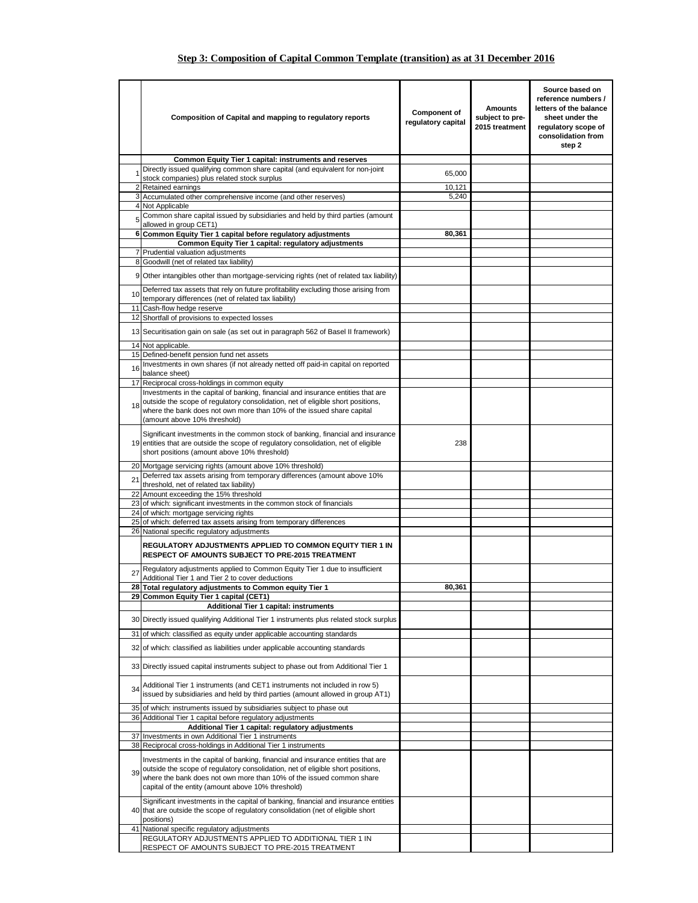### **Step 3: Composition of Capital Common Template (transition) as at 31 December 2016**

|                | Composition of Capital and mapping to regulatory reports                                                                                                                                                                                                                                          | <b>Component of</b><br>regulatory capital | <b>Amounts</b><br>subject to pre-<br>2015 treatment | Source based on<br>reference numbers /<br>letters of the balance<br>sheet under the<br>regulatory scope of<br>consolidation from<br>step 2 |
|----------------|---------------------------------------------------------------------------------------------------------------------------------------------------------------------------------------------------------------------------------------------------------------------------------------------------|-------------------------------------------|-----------------------------------------------------|--------------------------------------------------------------------------------------------------------------------------------------------|
|                | Common Equity Tier 1 capital: instruments and reserves                                                                                                                                                                                                                                            |                                           |                                                     |                                                                                                                                            |
|                | Directly issued qualifying common share capital (and equivalent for non-joint                                                                                                                                                                                                                     | 65,000                                    |                                                     |                                                                                                                                            |
| $\overline{2}$ | stock companies) plus related stock surplus<br>Retained earnings                                                                                                                                                                                                                                  | 10,121                                    |                                                     |                                                                                                                                            |
|                | 3 Accumulated other comprehensive income (and other reserves)                                                                                                                                                                                                                                     | 5,240                                     |                                                     |                                                                                                                                            |
|                | 4 Not Applicable                                                                                                                                                                                                                                                                                  |                                           |                                                     |                                                                                                                                            |
| 5              | Common share capital issued by subsidiaries and held by third parties (amount<br>allowed in group CET1)                                                                                                                                                                                           |                                           |                                                     |                                                                                                                                            |
| 6              | Common Equity Tier 1 capital before regulatory adjustments                                                                                                                                                                                                                                        | 80,361                                    |                                                     |                                                                                                                                            |
|                | Common Equity Tier 1 capital: regulatory adjustments<br>7 Prudential valuation adjustments                                                                                                                                                                                                        |                                           |                                                     |                                                                                                                                            |
| 8              | Goodwill (net of related tax liability)                                                                                                                                                                                                                                                           |                                           |                                                     |                                                                                                                                            |
|                | 9 Other intangibles other than mortgage-servicing rights (net of related tax liability)                                                                                                                                                                                                           |                                           |                                                     |                                                                                                                                            |
|                | Deferred tax assets that rely on future profitability excluding those arising from                                                                                                                                                                                                                |                                           |                                                     |                                                                                                                                            |
| 10             | temporary differences (net of related tax liability)                                                                                                                                                                                                                                              |                                           |                                                     |                                                                                                                                            |
| 11             | Cash-flow hedge reserve<br>12 Shortfall of provisions to expected losses                                                                                                                                                                                                                          |                                           |                                                     |                                                                                                                                            |
|                |                                                                                                                                                                                                                                                                                                   |                                           |                                                     |                                                                                                                                            |
|                | 13 Securitisation gain on sale (as set out in paragraph 562 of Basel II framework)                                                                                                                                                                                                                |                                           |                                                     |                                                                                                                                            |
|                | 14 Not applicable.<br>15 Defined-benefit pension fund net assets                                                                                                                                                                                                                                  |                                           |                                                     |                                                                                                                                            |
|                | Investments in own shares (if not already netted off paid-in capital on reported                                                                                                                                                                                                                  |                                           |                                                     |                                                                                                                                            |
| 16             | balance sheet)                                                                                                                                                                                                                                                                                    |                                           |                                                     |                                                                                                                                            |
|                | 17 Reciprocal cross-holdings in common equity<br>Investments in the capital of banking, financial and insurance entities that are                                                                                                                                                                 |                                           |                                                     |                                                                                                                                            |
|                | outside the scope of regulatory consolidation, net of eligible short positions,                                                                                                                                                                                                                   |                                           |                                                     |                                                                                                                                            |
| 18             | where the bank does not own more than 10% of the issued share capital                                                                                                                                                                                                                             |                                           |                                                     |                                                                                                                                            |
|                | (amount above 10% threshold)                                                                                                                                                                                                                                                                      |                                           |                                                     |                                                                                                                                            |
|                | Significant investments in the common stock of banking, financial and insurance<br>19 entities that are outside the scope of regulatory consolidation, net of eligible<br>short positions (amount above 10% threshold)                                                                            | 238                                       |                                                     |                                                                                                                                            |
|                | 20 Mortgage servicing rights (amount above 10% threshold)                                                                                                                                                                                                                                         |                                           |                                                     |                                                                                                                                            |
| 21             | Deferred tax assets arising from temporary differences (amount above 10%<br>threshold, net of related tax liability)                                                                                                                                                                              |                                           |                                                     |                                                                                                                                            |
| 22             | Amount exceeding the 15% threshold                                                                                                                                                                                                                                                                |                                           |                                                     |                                                                                                                                            |
| 23             | of which: significant investments in the common stock of financials                                                                                                                                                                                                                               |                                           |                                                     |                                                                                                                                            |
|                | 24 of which: mortgage servicing rights                                                                                                                                                                                                                                                            |                                           |                                                     |                                                                                                                                            |
| 25<br>26       | of which: deferred tax assets arising from temporary differences<br>National specific regulatory adjustments                                                                                                                                                                                      |                                           |                                                     |                                                                                                                                            |
|                | <b>REGULATORY ADJUSTMENTS APPLIED TO COMMON EQUITY TIER 1 IN</b><br><b>RESPECT OF AMOUNTS SUBJECT TO PRE-2015 TREATMENT</b>                                                                                                                                                                       |                                           |                                                     |                                                                                                                                            |
| 27             | Regulatory adjustments applied to Common Equity Tier 1 due to insufficient                                                                                                                                                                                                                        |                                           |                                                     |                                                                                                                                            |
|                | Additional Tier 1 and Tier 2 to cover deductions<br>28 Total regulatory adjustments to Common equity Tier 1                                                                                                                                                                                       | 80,361                                    |                                                     |                                                                                                                                            |
|                | 29 Common Equity Tier 1 capital (CET1)                                                                                                                                                                                                                                                            |                                           |                                                     |                                                                                                                                            |
|                | Additional Tier 1 capital: instruments                                                                                                                                                                                                                                                            |                                           |                                                     |                                                                                                                                            |
|                | 30 Directly issued qualifying Additional Tier 1 instruments plus related stock surplus                                                                                                                                                                                                            |                                           |                                                     |                                                                                                                                            |
| 31             | of which: classified as equity under applicable accounting standards                                                                                                                                                                                                                              |                                           |                                                     |                                                                                                                                            |
|                | 32 of which: classified as liabilities under applicable accounting standards                                                                                                                                                                                                                      |                                           |                                                     |                                                                                                                                            |
|                | 33 Directly issued capital instruments subject to phase out from Additional Tier 1                                                                                                                                                                                                                |                                           |                                                     |                                                                                                                                            |
| 34             | Additional Tier 1 instruments (and CET1 instruments not included in row 5)<br>issued by subsidiaries and held by third parties (amount allowed in group AT1)                                                                                                                                      |                                           |                                                     |                                                                                                                                            |
| 35             | of which: instruments issued by subsidiaries subject to phase out                                                                                                                                                                                                                                 |                                           |                                                     |                                                                                                                                            |
|                | 36 Additional Tier 1 capital before regulatory adjustments<br>Additional Tier 1 capital: regulatory adjustments                                                                                                                                                                                   |                                           |                                                     |                                                                                                                                            |
| 37             | Investments in own Additional Tier 1 instruments                                                                                                                                                                                                                                                  |                                           |                                                     |                                                                                                                                            |
|                | 38 Reciprocal cross-holdings in Additional Tier 1 instruments                                                                                                                                                                                                                                     |                                           |                                                     |                                                                                                                                            |
| 39             | Investments in the capital of banking, financial and insurance entities that are<br>outside the scope of regulatory consolidation, net of eligible short positions,<br>where the bank does not own more than 10% of the issued common share<br>capital of the entity (amount above 10% threshold) |                                           |                                                     |                                                                                                                                            |
|                | Significant investments in the capital of banking, financial and insurance entities<br>40 that are outside the scope of regulatory consolidation (net of eligible short                                                                                                                           |                                           |                                                     |                                                                                                                                            |
| 41             | positions)<br>National specific regulatory adjustments                                                                                                                                                                                                                                            |                                           |                                                     |                                                                                                                                            |
|                | REGULATORY ADJUSTMENTS APPLIED TO ADDITIONAL TIER 1 IN                                                                                                                                                                                                                                            |                                           |                                                     |                                                                                                                                            |
|                | RESPECT OF AMOUNTS SUBJECT TO PRE-2015 TREATMENT                                                                                                                                                                                                                                                  |                                           |                                                     |                                                                                                                                            |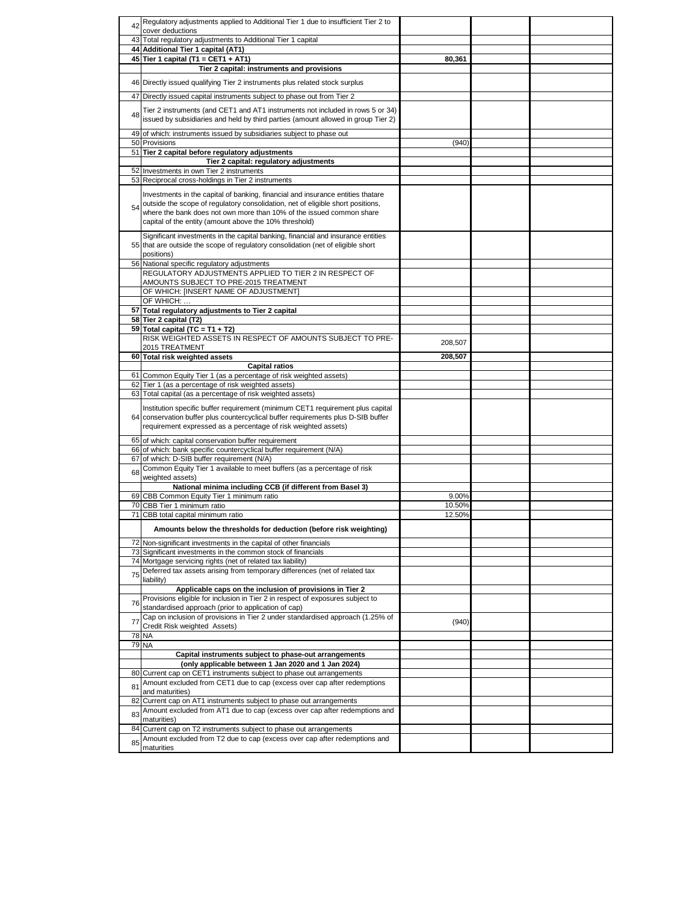| 42       | Regulatory adjustments applied to Additional Tier 1 due to insufficient Tier 2 to<br>cover deductions                                                                                                                                                                                                |                  |  |
|----------|------------------------------------------------------------------------------------------------------------------------------------------------------------------------------------------------------------------------------------------------------------------------------------------------------|------------------|--|
|          | 43 Total regulatory adjustments to Additional Tier 1 capital                                                                                                                                                                                                                                         |                  |  |
|          | 44 Additional Tier 1 capital (AT1)                                                                                                                                                                                                                                                                   |                  |  |
|          | 45 Tier 1 capital (T1 = CET1 + AT1)                                                                                                                                                                                                                                                                  | 80,361           |  |
|          | Tier 2 capital: instruments and provisions                                                                                                                                                                                                                                                           |                  |  |
|          | 46 Directly issued qualifying Tier 2 instruments plus related stock surplus                                                                                                                                                                                                                          |                  |  |
|          | 47 Directly issued capital instruments subject to phase out from Tier 2                                                                                                                                                                                                                              |                  |  |
| 48       | Tier 2 instruments (and CET1 and AT1 instruments not included in rows 5 or 34)<br>issued by subsidiaries and held by third parties (amount allowed in group Tier 2)                                                                                                                                  |                  |  |
| 49       | of which: instruments issued by subsidiaries subject to phase out<br>50 Provisions                                                                                                                                                                                                                   | (940)            |  |
|          | 51 Tier 2 capital before regulatory adjustments                                                                                                                                                                                                                                                      |                  |  |
|          | Tier 2 capital: regulatory adjustments                                                                                                                                                                                                                                                               |                  |  |
|          | 52 Investments in own Tier 2 instruments                                                                                                                                                                                                                                                             |                  |  |
|          | 53 Reciprocal cross-holdings in Tier 2 instruments                                                                                                                                                                                                                                                   |                  |  |
| 54       | Investments in the capital of banking, financial and insurance entities thatare<br>outside the scope of regulatory consolidation, net of eligible short positions,<br>where the bank does not own more than 10% of the issued common share<br>capital of the entity (amount above the 10% threshold) |                  |  |
|          | Significant investments in the capital banking, financial and insurance entities<br>55 that are outside the scope of regulatory consolidation (net of eligible short<br>positions)                                                                                                                   |                  |  |
|          | 56 National specific regulatory adjustments                                                                                                                                                                                                                                                          |                  |  |
|          | REGULATORY ADJUSTMENTS APPLIED TO TIER 2 IN RESPECT OF                                                                                                                                                                                                                                               |                  |  |
|          | AMOUNTS SUBJECT TO PRE-2015 TREATMENT<br>OF WHICH: [INSERT NAME OF ADJUSTMENT]                                                                                                                                                                                                                       |                  |  |
|          | OF WHICH:                                                                                                                                                                                                                                                                                            |                  |  |
|          | 57 Total regulatory adjustments to Tier 2 capital                                                                                                                                                                                                                                                    |                  |  |
|          | 58 Tier 2 capital (T2)                                                                                                                                                                                                                                                                               |                  |  |
|          | 59 Total capital (TC = T1 + T2)<br>RISK WEIGHTED ASSETS IN RESPECT OF AMOUNTS SUBJECT TO PRE-                                                                                                                                                                                                        |                  |  |
|          | 2015 TREATMENT                                                                                                                                                                                                                                                                                       | 208,507          |  |
|          | 60 Total risk weighted assets                                                                                                                                                                                                                                                                        | 208,507          |  |
|          | <b>Capital ratios</b><br>61 Common Equity Tier 1 (as a percentage of risk weighted assets)                                                                                                                                                                                                           |                  |  |
|          | 62 Tier 1 (as a percentage of risk weighted assets)                                                                                                                                                                                                                                                  |                  |  |
|          | 63 Total capital (as a percentage of risk weighted assets)                                                                                                                                                                                                                                           |                  |  |
|          | Institution specific buffer requirement (minimum CET1 requirement plus capital<br>64 conservation buffer plus countercyclical buffer requirements plus D-SIB buffer<br>requirement expressed as a percentage of risk weighted assets)                                                                |                  |  |
|          | 65 of which: capital conservation buffer requirement                                                                                                                                                                                                                                                 |                  |  |
|          | 66 of which: bank specific countercyclical buffer requirement (N/A)                                                                                                                                                                                                                                  |                  |  |
|          | 67 of which: D-SIB buffer requirement (N/A)                                                                                                                                                                                                                                                          |                  |  |
| 68       | Common Equity Tier 1 available to meet buffers (as a percentage of risk<br>weighted assets)                                                                                                                                                                                                          |                  |  |
|          | National minima including CCB (if different from Basel 3)                                                                                                                                                                                                                                            |                  |  |
|          | 69 CBB Common Equity Tier 1 minimum ratio                                                                                                                                                                                                                                                            | 9.00%            |  |
| 71       | 70 CBB Tier 1 minimum ratio<br>CBB total capital minimum ratio                                                                                                                                                                                                                                       | 10.50%<br>12.50% |  |
|          |                                                                                                                                                                                                                                                                                                      |                  |  |
|          | Amounts below the thresholds for deduction (before risk weighting)                                                                                                                                                                                                                                   |                  |  |
|          | 72 Non-significant investments in the capital of other financials<br>73 Significant investments in the common stock of financials                                                                                                                                                                    |                  |  |
|          | 74 Mortgage servicing rights (net of related tax liability)                                                                                                                                                                                                                                          |                  |  |
| 75       | Deferred tax assets arising from temporary differences (net of related tax<br>liability)                                                                                                                                                                                                             |                  |  |
| 76       | Applicable caps on the inclusion of provisions in Tier 2<br>Provisions eligible for inclusion in Tier 2 in respect of exposures subject to                                                                                                                                                           |                  |  |
|          | standardised approach (prior to application of cap)<br>Cap on inclusion of provisions in Tier 2 under standardised approach (1.25% of                                                                                                                                                                |                  |  |
| 77       | Credit Risk weighted Assets)                                                                                                                                                                                                                                                                         | (940)            |  |
|          | <b>78 NA</b><br><b>79 NA</b>                                                                                                                                                                                                                                                                         |                  |  |
|          | Capital instruments subject to phase-out arrangements                                                                                                                                                                                                                                                |                  |  |
|          | (only applicable between 1 Jan 2020 and 1 Jan 2024)                                                                                                                                                                                                                                                  |                  |  |
| 80<br>81 | Current cap on CET1 instruments subject to phase out arrangements<br>Amount excluded from CET1 due to cap (excess over cap after redemptions                                                                                                                                                         |                  |  |
|          | and maturities)                                                                                                                                                                                                                                                                                      |                  |  |
| 82       | Current cap on AT1 instruments subject to phase out arrangements<br>Amount excluded from AT1 due to cap (excess over cap after redemptions and                                                                                                                                                       |                  |  |
| 83       | maturities)                                                                                                                                                                                                                                                                                          |                  |  |
| 84       | Current cap on T2 instruments subject to phase out arrangements                                                                                                                                                                                                                                      |                  |  |
| 85       | Amount excluded from T2 due to cap (excess over cap after redemptions and<br>maturities                                                                                                                                                                                                              |                  |  |
|          |                                                                                                                                                                                                                                                                                                      |                  |  |